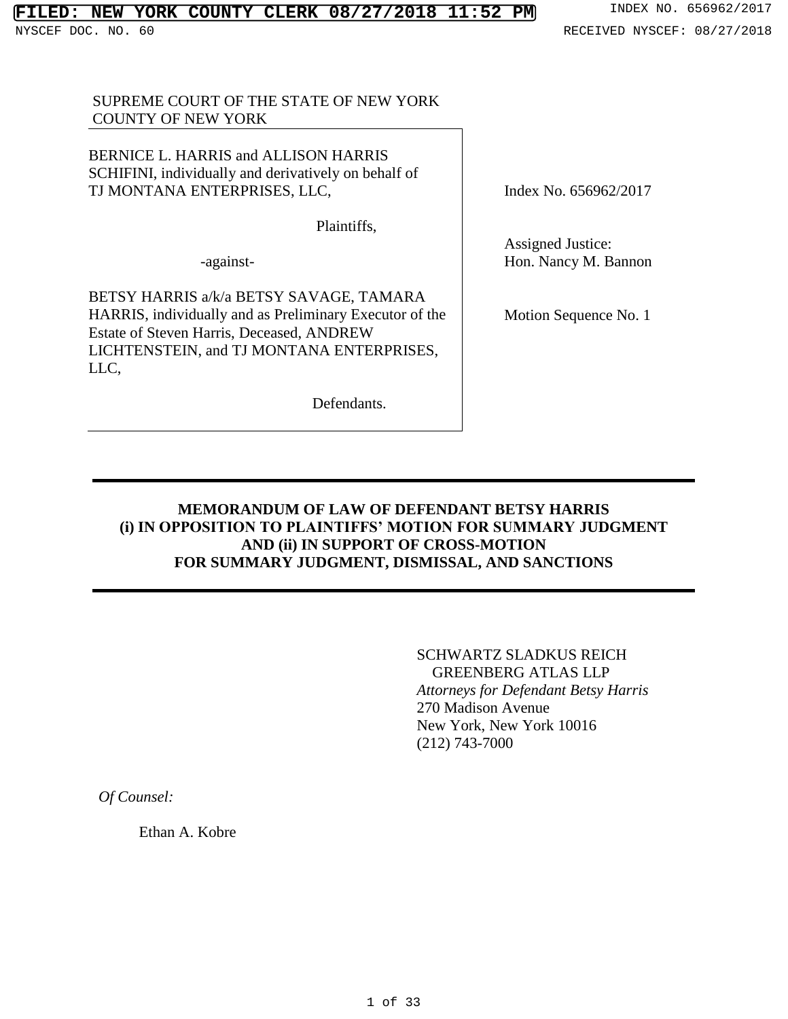# **FILED: NEW YORK COUNTY CLERK 08/27/2018 11:52 PM** INDEX NO. 656962/2017

## SUPREME COURT OF THE STATE OF NEW YORK COUNTY OF NEW YORK

BERNICE L. HARRIS and ALLISON HARRIS SCHIFINI, individually and derivatively on behalf of TJ MONTANA ENTERPRISES, LLC,

Plaintiffs,

-against-

BETSY HARRIS a/k/a BETSY SAVAGE, TAMARA HARRIS, individually and as Preliminary Executor of the Estate of Steven Harris, Deceased, ANDREW LICHTENSTEIN, and TJ MONTANA ENTERPRISES, LLC,

Defendants.

Index No. 656962/2017

Assigned Justice: Hon. Nancy M. Bannon

Motion Sequence No. 1

## **MEMORANDUM OF LAW OF DEFENDANT BETSY HARRIS (i) IN OPPOSITION TO PLAINTIFFS' MOTION FOR SUMMARY JUDGMENT AND (ii) IN SUPPORT OF CROSS-MOTION FOR SUMMARY JUDGMENT, DISMISSAL, AND SANCTIONS**

SCHWARTZ SLADKUS REICH GREENBERG ATLAS LLP *Attorneys for Defendant Betsy Harris* 270 Madison Avenue New York, New York 10016 (212) 743-7000

*Of Counsel:*

Ethan A. Kobre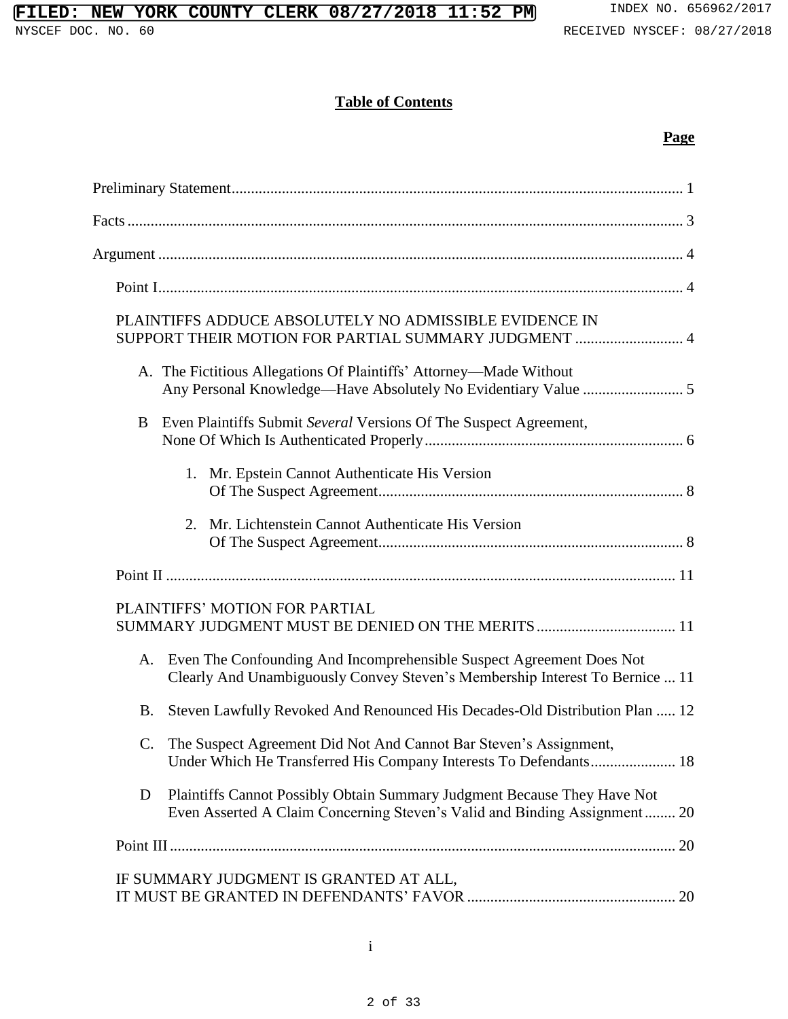# **Table of Contents**

# **Page**

| PLAINTIFFS ADDUCE ABSOLUTELY NO ADMISSIBLE EVIDENCE IN<br>SUPPORT THEIR MOTION FOR PARTIAL SUMMARY JUDGMENT  4                                             |
|------------------------------------------------------------------------------------------------------------------------------------------------------------|
| A. The Fictitious Allegations Of Plaintiffs' Attorney—Made Without                                                                                         |
| Even Plaintiffs Submit Several Versions Of The Suspect Agreement,<br>B                                                                                     |
| 1. Mr. Epstein Cannot Authenticate His Version                                                                                                             |
| Mr. Lichtenstein Cannot Authenticate His Version<br>2.                                                                                                     |
|                                                                                                                                                            |
| PLAINTIFFS' MOTION FOR PARTIAL<br>SUMMARY JUDGMENT MUST BE DENIED ON THE MERITS  11                                                                        |
| Even The Confounding And Incomprehensible Suspect Agreement Does Not<br>А.<br>Clearly And Unambiguously Convey Steven's Membership Interest To Bernice  11 |
| Steven Lawfully Revoked And Renounced His Decades-Old Distribution Plan  12<br><b>B.</b>                                                                   |
| C. The Suspect Agreement Did Not And Cannot Bar Steven's Assignment,                                                                                       |
| Plaintiffs Cannot Possibly Obtain Summary Judgment Because They Have Not<br>D<br>Even Asserted A Claim Concerning Steven's Valid and Binding Assignment 20 |
|                                                                                                                                                            |
| IF SUMMARY JUDGMENT IS GRANTED AT ALL,                                                                                                                     |

i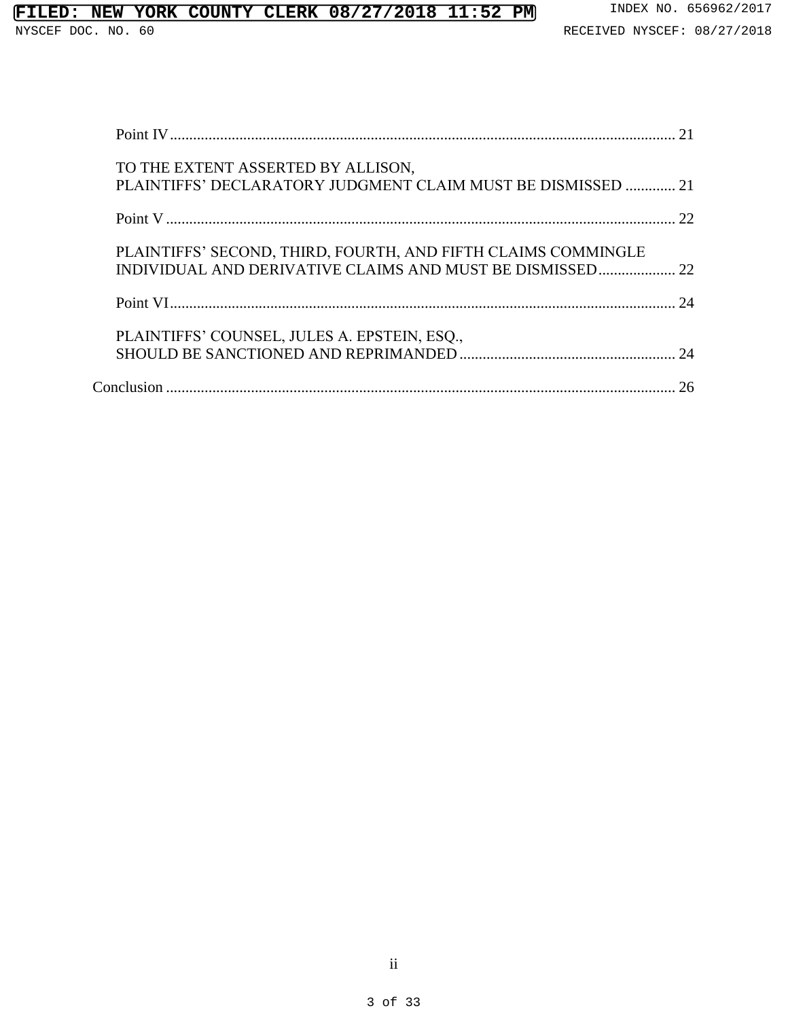| TO THE EXTENT ASSERTED BY ALLISON,<br>PLAINTIFFS' DECLARATORY JUDGMENT CLAIM MUST BE DISMISSED  21 |        |
|----------------------------------------------------------------------------------------------------|--------|
|                                                                                                    |        |
| PLAINTIFFS' SECOND, THIRD, FOURTH, AND FIFTH CLAIMS COMMINGLE                                      |        |
|                                                                                                    | $2\pi$ |
| PLAINTIFFS' COUNSEL, JULES A. EPSTEIN, ESQ.,                                                       |        |
|                                                                                                    | 26     |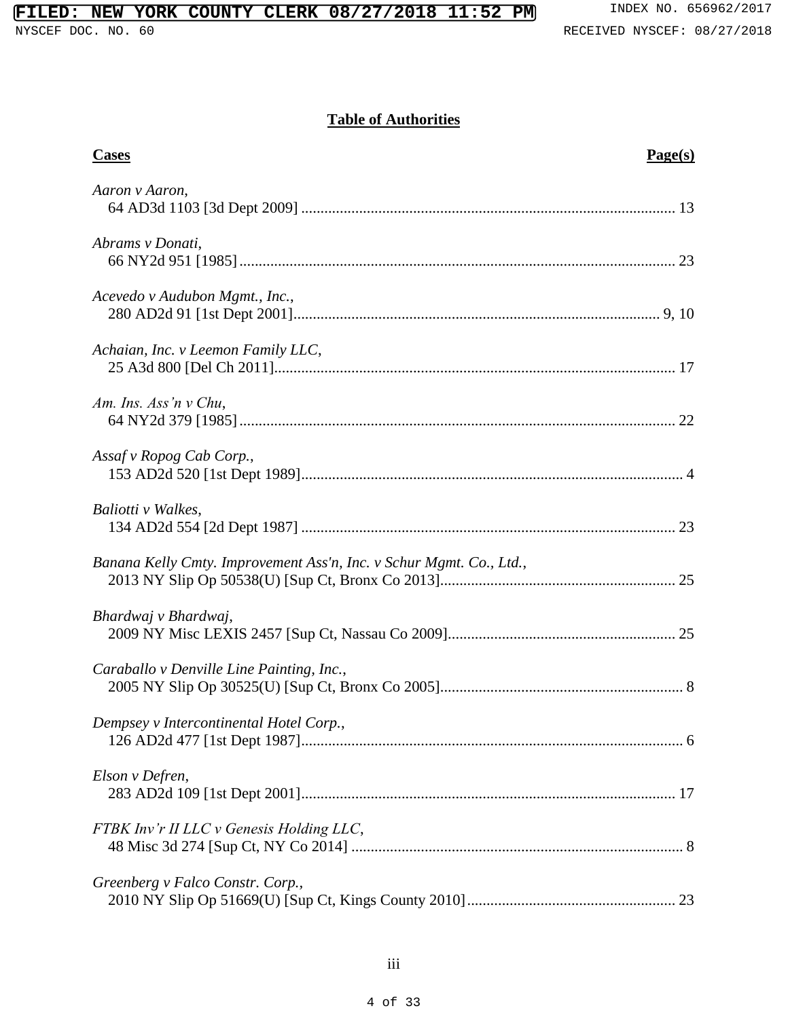# **Table of Authorities**

| <b>Cases</b>                                                        | Page(s) |
|---------------------------------------------------------------------|---------|
| Aaron v Aaron,                                                      |         |
| Abrams v Donati,                                                    |         |
| Acevedo v Audubon Mgmt., Inc.,                                      |         |
| Achaian, Inc. v Leemon Family LLC,                                  |         |
| Am. Ins. Ass'n $v$ Chu,                                             |         |
| Assaf v Ropog Cab Corp.,                                            |         |
| Baliotti v Walkes,                                                  |         |
| Banana Kelly Cmty. Improvement Ass'n, Inc. v Schur Mgmt. Co., Ltd., |         |
| Bhardwaj v Bhardwaj,                                                |         |
| Caraballo v Denville Line Painting, Inc.,                           |         |
| Dempsey v Intercontinental Hotel Corp.,                             |         |
| Elson v Defren,                                                     |         |
| FTBK Inv'r II LLC v Genesis Holding LLC,                            |         |
| Greenberg v Falco Constr. Corp.,                                    |         |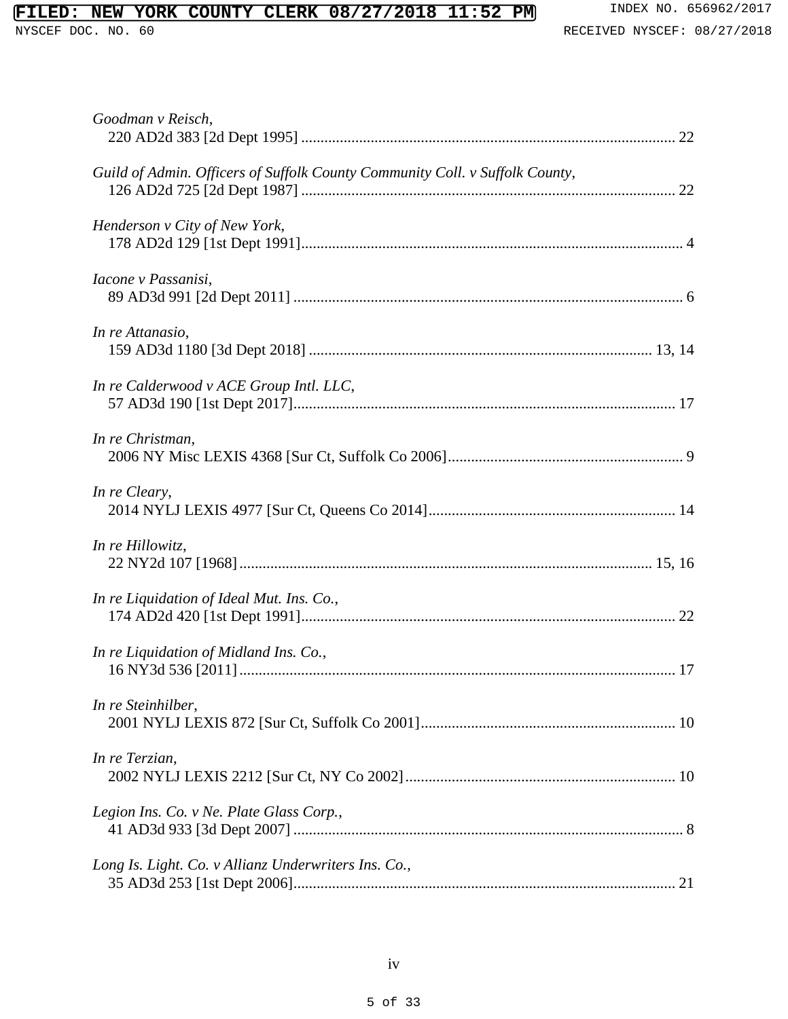| Goodman v Reisch,                                                            |
|------------------------------------------------------------------------------|
| Guild of Admin. Officers of Suffolk County Community Coll. v Suffolk County, |
| Henderson v City of New York,                                                |
| Iacone v Passanisi,                                                          |
| In re Attanasio,                                                             |
| In re Calderwood v ACE Group Intl. LLC,                                      |
| In re Christman,                                                             |
| In re Cleary,                                                                |
| In re Hillowitz,                                                             |
| In re Liquidation of Ideal Mut. Ins. Co.,                                    |
| In re Liquidation of Midland Ins. Co.,                                       |
| In re Steinhilber,                                                           |
| In re Terzian,                                                               |
| Legion Ins. Co. v Ne. Plate Glass Corp.,                                     |
| Long Is. Light. Co. v Allianz Underwriters Ins. Co.,                         |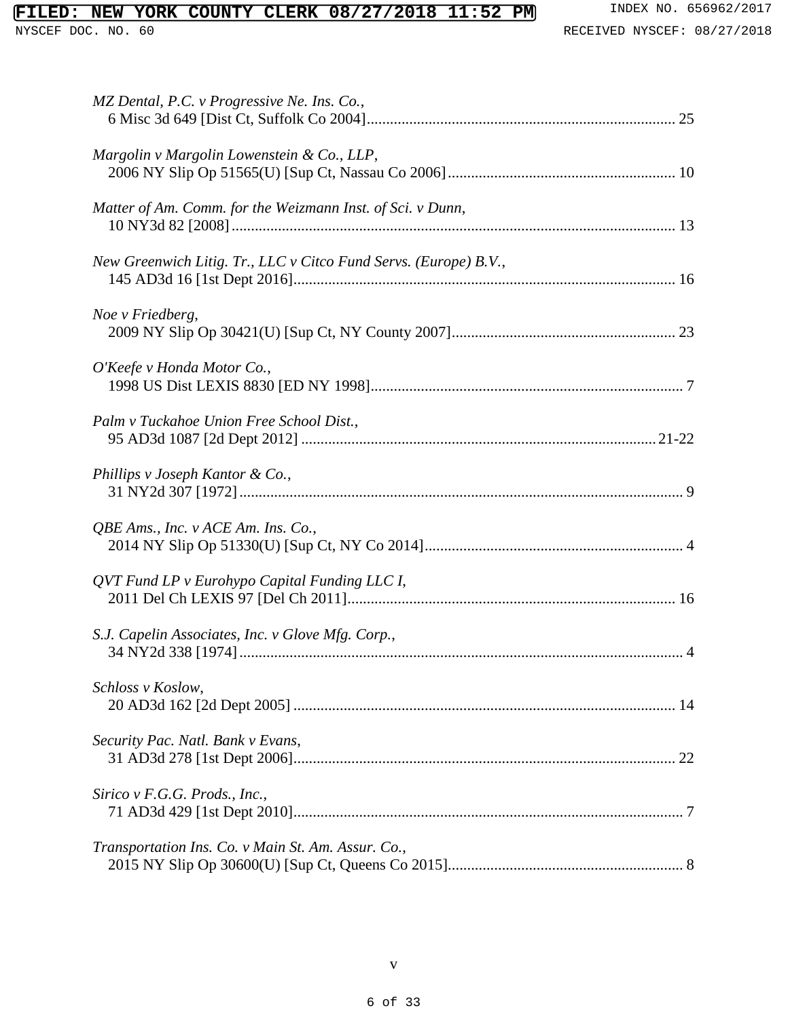| MZ Dental, P.C. v Progressive Ne. Ins. Co.,                      |
|------------------------------------------------------------------|
| Margolin v Margolin Lowenstein & Co., LLP,                       |
| Matter of Am. Comm. for the Weizmann Inst. of Sci. v Dunn,       |
| New Greenwich Litig. Tr., LLC v Citco Fund Servs. (Europe) B.V., |
| Noe v Friedberg,                                                 |
| O'Keefe v Honda Motor Co.,                                       |
| Palm v Tuckahoe Union Free School Dist.,                         |
| Phillips v Joseph Kantor & Co.,                                  |
| QBE Ams., Inc. v ACE Am. Ins. Co.,                               |
| QVT Fund LP v Eurohypo Capital Funding LLC I,                    |
| S.J. Capelin Associates, Inc. v Glove Mfg. Corp.,                |
| Schloss v Koslow,                                                |
| Security Pac. Natl. Bank v Evans,                                |
| Sirico v F.G.G. Prods., Inc.,                                    |
| Transportation Ins. Co. v Main St. Am. Assur. Co.,               |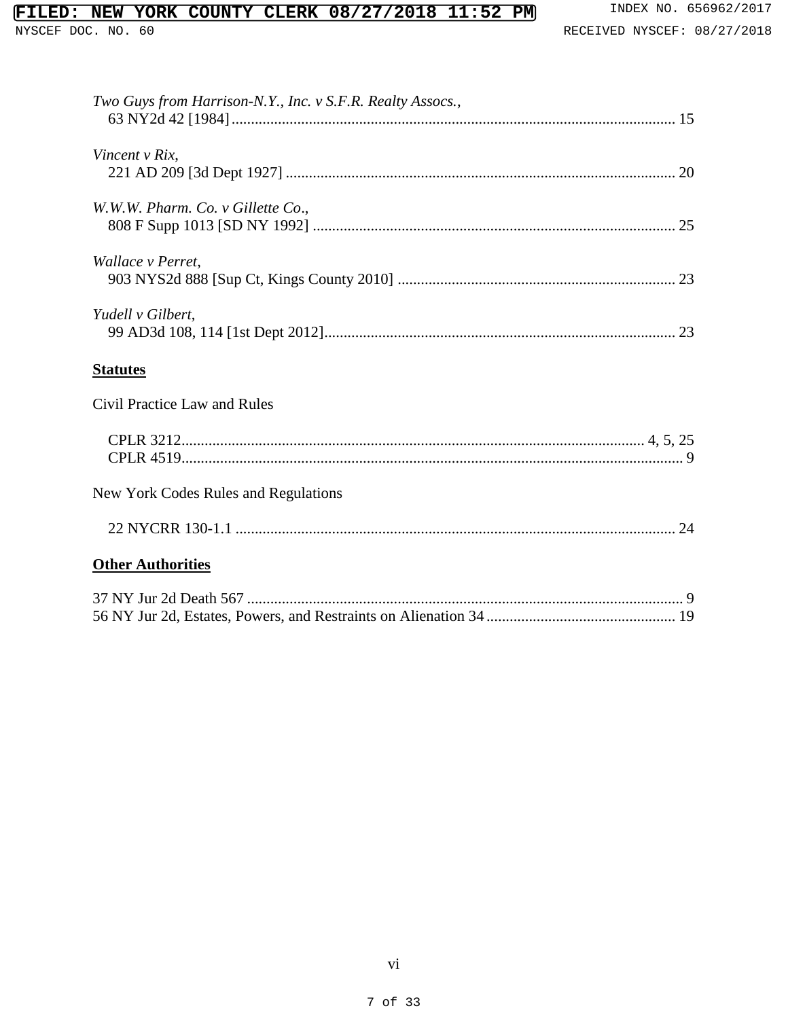| Two Guys from Harrison-N.Y., Inc. v S.F.R. Realty Assocs., |
|------------------------------------------------------------|
| Vincent v Rix,                                             |
| W.W.W. Pharm. Co. v Gillette Co.,                          |
| Wallace v Perret,                                          |
| Yudell v Gilbert,                                          |
| <b>Statutes</b>                                            |
| Civil Practice Law and Rules                               |
|                                                            |
| New York Codes Rules and Regulations                       |
|                                                            |
| <b>Other Authorities</b>                                   |
|                                                            |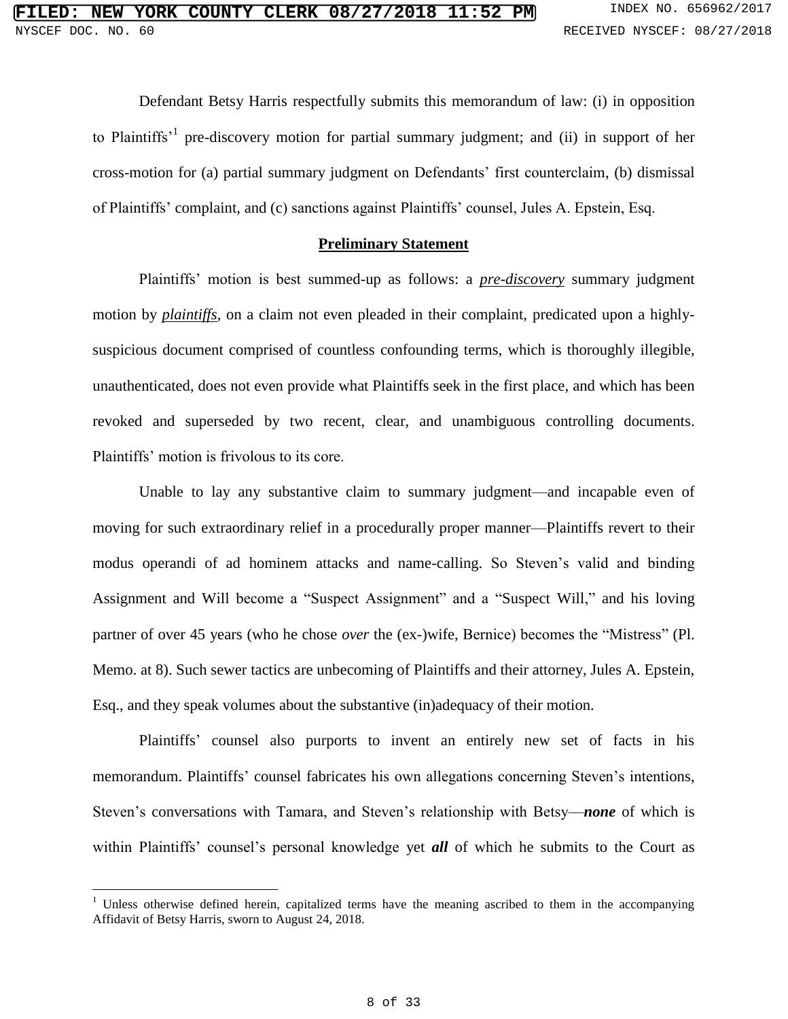Defendant Betsy Harris respectfully submits this memorandum of law: (i) in opposition to Plaintiffs<sup>1</sup> pre-discovery motion for partial summary judgment; and (ii) in support of her cross-motion for (a) partial summary judgment on Defendants' first counterclaim, (b) dismissal of Plaintiffs' complaint, and (c) sanctions against Plaintiffs' counsel, Jules A. Epstein, Esq.

#### **Preliminary Statement**

Plaintiffs' motion is best summed-up as follows: a *pre-discovery* summary judgment motion by *plaintiffs*, on a claim not even pleaded in their complaint, predicated upon a highlysuspicious document comprised of countless confounding terms, which is thoroughly illegible, unauthenticated, does not even provide what Plaintiffs seek in the first place, and which has been revoked and superseded by two recent, clear, and unambiguous controlling documents. Plaintiffs' motion is frivolous to its core.

Unable to lay any substantive claim to summary judgment—and incapable even of moving for such extraordinary relief in a procedurally proper manner—Plaintiffs revert to their modus operandi of ad hominem attacks and name-calling. So Steven's valid and binding Assignment and Will become a "Suspect Assignment" and a "Suspect Will," and his loving partner of over 45 years (who he chose *over* the (ex-)wife, Bernice) becomes the "Mistress" (Pl. Memo. at 8). Such sewer tactics are unbecoming of Plaintiffs and their attorney, Jules A. Epstein, Esq., and they speak volumes about the substantive (in)adequacy of their motion.

Plaintiffs' counsel also purports to invent an entirely new set of facts in his memorandum. Plaintiffs' counsel fabricates his own allegations concerning Steven's intentions, Steven's conversations with Tamara, and Steven's relationship with Betsy—*none* of which is within Plaintiffs' counsel's personal knowledge yet *all* of which he submits to the Court as

<sup>&</sup>lt;sup>1</sup> Unless otherwise defined herein, capitalized terms have the meaning ascribed to them in the accompanying Affidavit of Betsy Harris, sworn to August 24, 2018.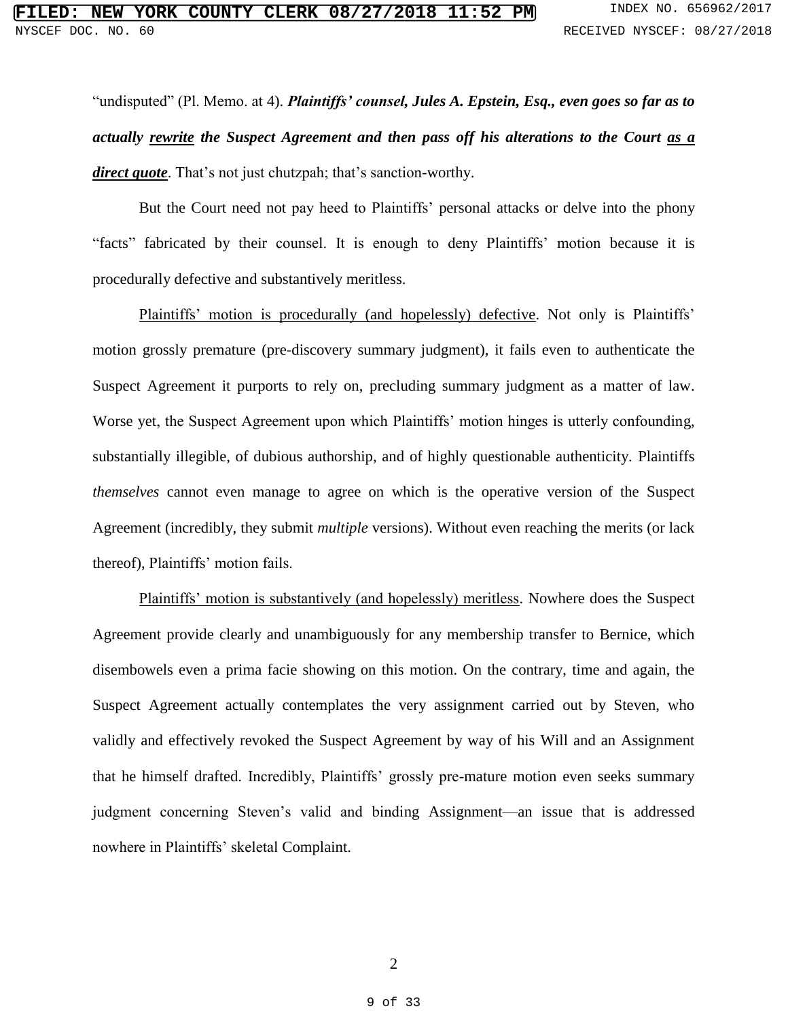"undisputed" (Pl. Memo. at 4). *Plaintiffs' counsel, Jules A. Epstein, Esq., even goes so far as to actually rewrite the Suspect Agreement and then pass off his alterations to the Court as a direct quote*. That's not just chutzpah; that's sanction-worthy.

But the Court need not pay heed to Plaintiffs' personal attacks or delve into the phony "facts" fabricated by their counsel. It is enough to deny Plaintiffs' motion because it is procedurally defective and substantively meritless.

Plaintiffs' motion is procedurally (and hopelessly) defective. Not only is Plaintiffs' motion grossly premature (pre-discovery summary judgment), it fails even to authenticate the Suspect Agreement it purports to rely on, precluding summary judgment as a matter of law. Worse yet, the Suspect Agreement upon which Plaintiffs' motion hinges is utterly confounding, substantially illegible, of dubious authorship, and of highly questionable authenticity. Plaintiffs *themselves* cannot even manage to agree on which is the operative version of the Suspect Agreement (incredibly, they submit *multiple* versions). Without even reaching the merits (or lack thereof), Plaintiffs' motion fails.

Plaintiffs' motion is substantively (and hopelessly) meritless. Nowhere does the Suspect Agreement provide clearly and unambiguously for any membership transfer to Bernice, which disembowels even a prima facie showing on this motion. On the contrary, time and again, the Suspect Agreement actually contemplates the very assignment carried out by Steven, who validly and effectively revoked the Suspect Agreement by way of his Will and an Assignment that he himself drafted. Incredibly, Plaintiffs' grossly pre-mature motion even seeks summary judgment concerning Steven's valid and binding Assignment—an issue that is addressed nowhere in Plaintiffs' skeletal Complaint.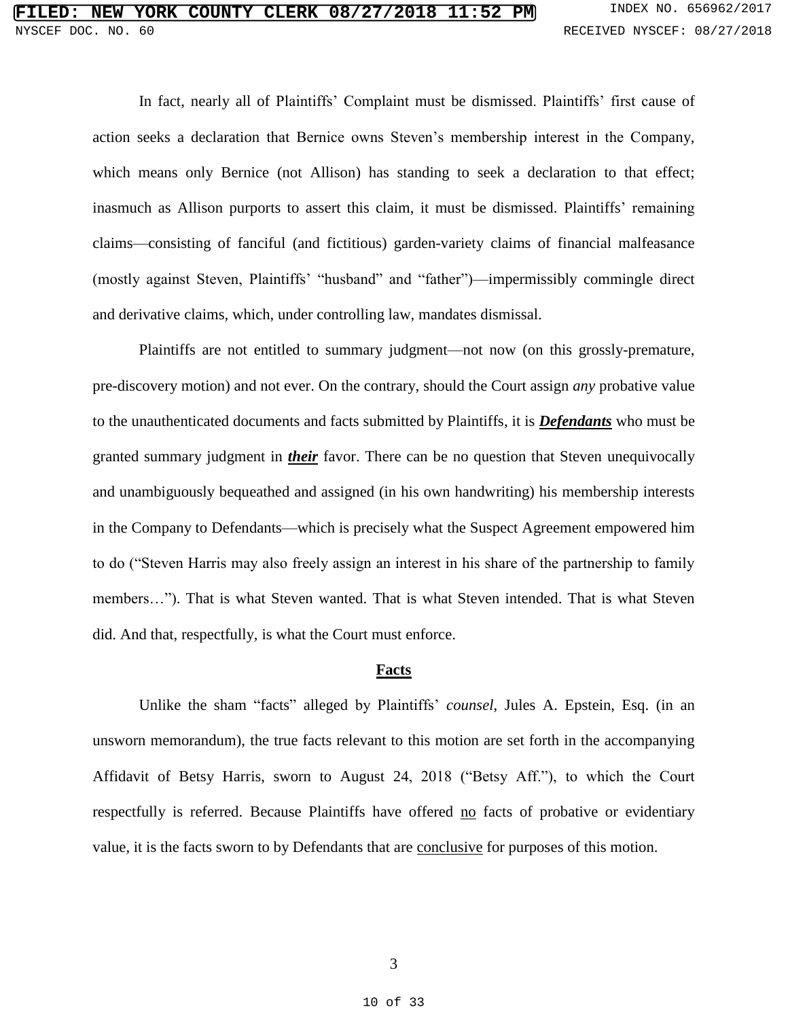In fact, nearly all of Plaintiffs' Complaint must be dismissed. Plaintiffs' first cause of action seeks a declaration that Bernice owns Steven's membership interest in the Company, which means only Bernice (not Allison) has standing to seek a declaration to that effect; inasmuch as Allison purports to assert this claim, it must be dismissed. Plaintiffs' remaining claims—consisting of fanciful (and fictitious) garden-variety claims of financial malfeasance (mostly against Steven, Plaintiffs' "husband" and "father")—impermissibly commingle direct and derivative claims, which, under controlling law, mandates dismissal.

Plaintiffs are not entitled to summary judgment—not now (on this grossly-premature, pre-discovery motion) and not ever. On the contrary, should the Court assign *any* probative value to the unauthenticated documents and facts submitted by Plaintiffs, it is *Defendants* who must be granted summary judgment in *their* favor. There can be no question that Steven unequivocally and unambiguously bequeathed and assigned (in his own handwriting) his membership interests in the Company to Defendants—which is precisely what the Suspect Agreement empowered him to do ("Steven Harris may also freely assign an interest in his share of the partnership to family members…"). That is what Steven wanted. That is what Steven intended. That is what Steven did. And that, respectfully, is what the Court must enforce.

#### **Facts**

Unlike the sham "facts" alleged by Plaintiffs' *counsel*, Jules A. Epstein, Esq. (in an unsworn memorandum), the true facts relevant to this motion are set forth in the accompanying Affidavit of Betsy Harris, sworn to August 24, 2018 ("Betsy Aff."), to which the Court respectfully is referred. Because Plaintiffs have offered no facts of probative or evidentiary value, it is the facts sworn to by Defendants that are conclusive for purposes of this motion.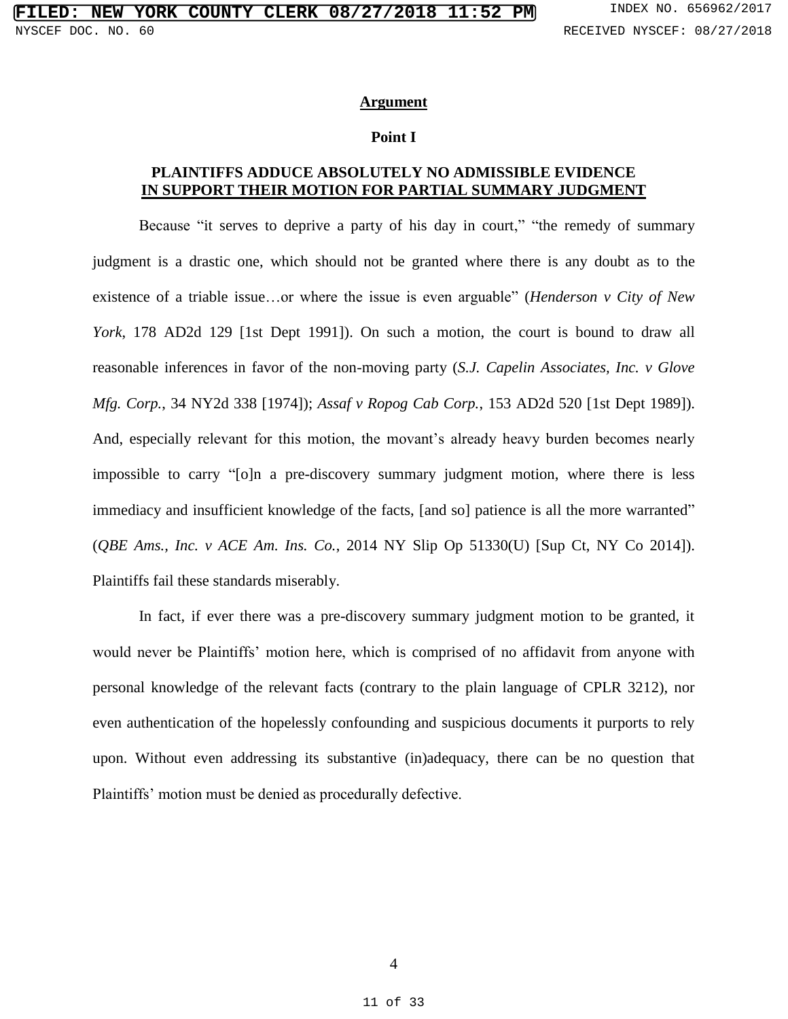#### **Argument**

#### **Point I**

## **PLAINTIFFS ADDUCE ABSOLUTELY NO ADMISSIBLE EVIDENCE IN SUPPORT THEIR MOTION FOR PARTIAL SUMMARY JUDGMENT**

Because "it serves to deprive a party of his day in court," "the remedy of summary judgment is a drastic one, which should not be granted where there is any doubt as to the existence of a triable issue…or where the issue is even arguable" (*Henderson v City of New York*, 178 AD2d 129 [1st Dept 1991]). On such a motion, the court is bound to draw all reasonable inferences in favor of the non-moving party (*S.J. Capelin Associates, Inc. v Glove Mfg. Corp.*, 34 NY2d 338 [1974]); *Assaf v Ropog Cab Corp.*, 153 AD2d 520 [1st Dept 1989]). And, especially relevant for this motion, the movant's already heavy burden becomes nearly impossible to carry "[o]n a pre-discovery summary judgment motion, where there is less immediacy and insufficient knowledge of the facts, [and so] patience is all the more warranted" (*QBE Ams., Inc. v ACE Am. Ins. Co.*, 2014 NY Slip Op 51330(U) [Sup Ct, NY Co 2014]). Plaintiffs fail these standards miserably.

In fact, if ever there was a pre-discovery summary judgment motion to be granted, it would never be Plaintiffs' motion here, which is comprised of no affidavit from anyone with personal knowledge of the relevant facts (contrary to the plain language of CPLR 3212), nor even authentication of the hopelessly confounding and suspicious documents it purports to rely upon. Without even addressing its substantive (in)adequacy, there can be no question that Plaintiffs' motion must be denied as procedurally defective.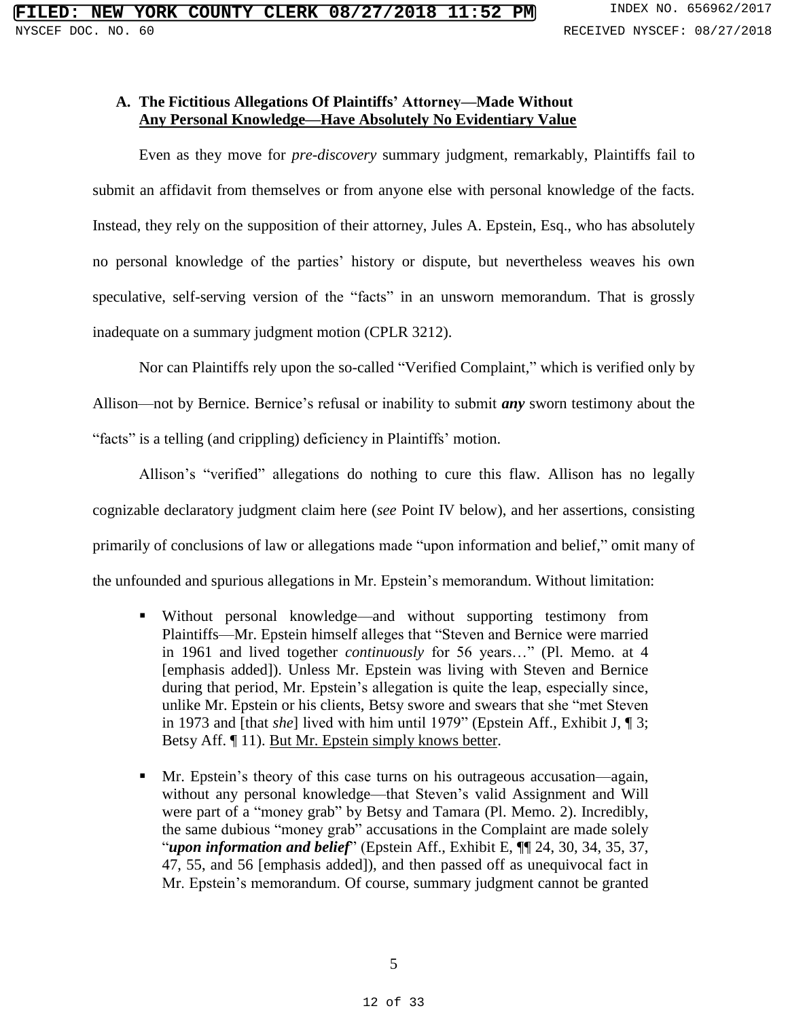## **A. The Fictitious Allegations Of Plaintiffs' Attorney—Made Without Any Personal Knowledge—Have Absolutely No Evidentiary Value**

Even as they move for *pre-discovery* summary judgment, remarkably, Plaintiffs fail to submit an affidavit from themselves or from anyone else with personal knowledge of the facts. Instead, they rely on the supposition of their attorney, Jules A. Epstein, Esq., who has absolutely no personal knowledge of the parties' history or dispute, but nevertheless weaves his own speculative, self-serving version of the "facts" in an unsworn memorandum. That is grossly inadequate on a summary judgment motion (CPLR 3212).

Nor can Plaintiffs rely upon the so-called "Verified Complaint," which is verified only by Allison—not by Bernice. Bernice's refusal or inability to submit *any* sworn testimony about the "facts" is a telling (and crippling) deficiency in Plaintiffs' motion.

Allison's "verified" allegations do nothing to cure this flaw. Allison has no legally cognizable declaratory judgment claim here (*see* Point IV below), and her assertions, consisting primarily of conclusions of law or allegations made "upon information and belief," omit many of the unfounded and spurious allegations in Mr. Epstein's memorandum. Without limitation:

- Without personal knowledge—and without supporting testimony from Plaintiffs—Mr. Epstein himself alleges that "Steven and Bernice were married in 1961 and lived together *continuously* for 56 years…" (Pl. Memo. at 4 [emphasis added]). Unless Mr. Epstein was living with Steven and Bernice during that period, Mr. Epstein's allegation is quite the leap, especially since, unlike Mr. Epstein or his clients, Betsy swore and swears that she "met Steven in 1973 and [that *she*] lived with him until 1979" (Epstein Aff., Exhibit J, ¶ 3; Betsy Aff. ¶ 11). But Mr. Epstein simply knows better.
- Mr. Epstein's theory of this case turns on his outrageous accusation—again, without any personal knowledge—that Steven's valid Assignment and Will were part of a "money grab" by Betsy and Tamara (Pl. Memo. 2). Incredibly, the same dubious "money grab" accusations in the Complaint are made solely "*upon information and belief*" (Epstein Aff., Exhibit E, ¶¶ 24, 30, 34, 35, 37, 47, 55, and 56 [emphasis added]), and then passed off as unequivocal fact in Mr. Epstein's memorandum. Of course, summary judgment cannot be granted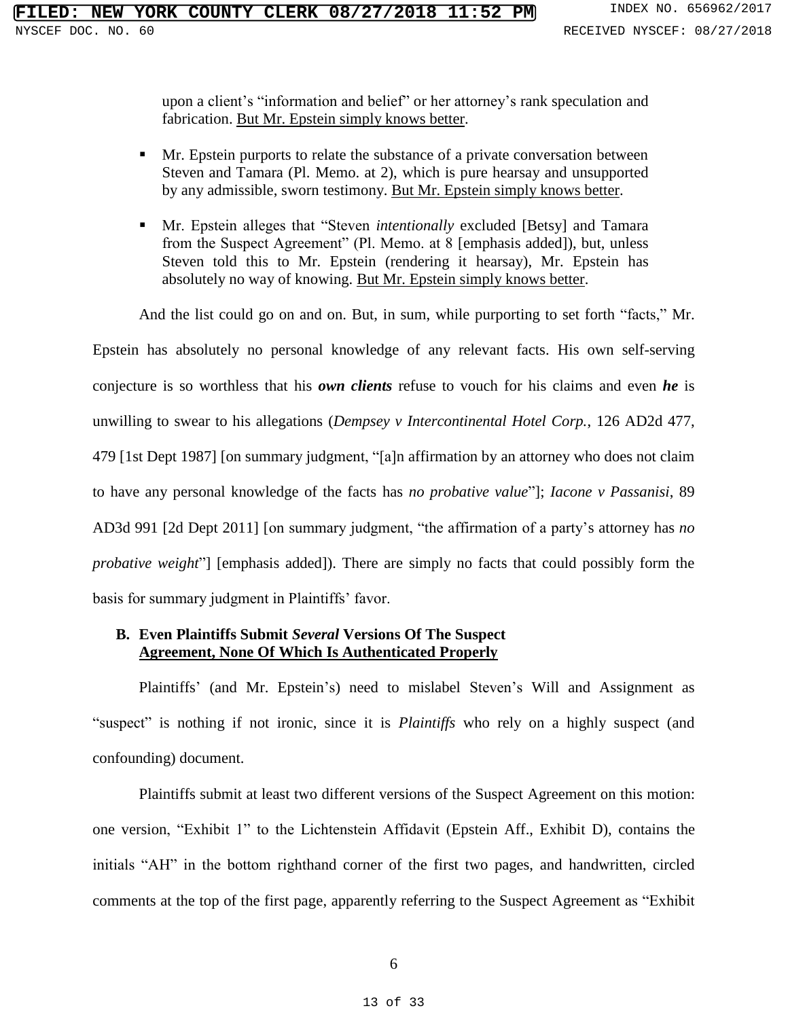upon a client's "information and belief" or her attorney's rank speculation and fabrication. But Mr. Epstein simply knows better.

- **Mr.** Epstein purports to relate the substance of a private conversation between Steven and Tamara (Pl. Memo. at 2), which is pure hearsay and unsupported by any admissible, sworn testimony. But Mr. Epstein simply knows better.
- Mr. Epstein alleges that "Steven *intentionally* excluded [Betsy] and Tamara from the Suspect Agreement" (Pl. Memo. at 8 [emphasis added]), but, unless Steven told this to Mr. Epstein (rendering it hearsay), Mr. Epstein has absolutely no way of knowing. But Mr. Epstein simply knows better.

And the list could go on and on. But, in sum, while purporting to set forth "facts," Mr.

Epstein has absolutely no personal knowledge of any relevant facts. His own self-serving conjecture is so worthless that his *own clients* refuse to vouch for his claims and even *he* is unwilling to swear to his allegations (*Dempsey v Intercontinental Hotel Corp.*, 126 AD2d 477, 479 [1st Dept 1987] [on summary judgment, "[a]n affirmation by an attorney who does not claim to have any personal knowledge of the facts has *no probative value*"]; *Iacone v Passanisi*, 89 AD3d 991 [2d Dept 2011] [on summary judgment, "the affirmation of a party's attorney has *no probative weight*"] [emphasis added]). There are simply no facts that could possibly form the basis for summary judgment in Plaintiffs' favor.

### **B. Even Plaintiffs Submit** *Several* **Versions Of The Suspect Agreement, None Of Which Is Authenticated Properly**

Plaintiffs' (and Mr. Epstein's) need to mislabel Steven's Will and Assignment as "suspect" is nothing if not ironic, since it is *Plaintiffs* who rely on a highly suspect (and confounding) document.

Plaintiffs submit at least two different versions of the Suspect Agreement on this motion: one version, "Exhibit 1" to the Lichtenstein Affidavit (Epstein Aff., Exhibit D), contains the initials "AH" in the bottom righthand corner of the first two pages, and handwritten, circled comments at the top of the first page, apparently referring to the Suspect Agreement as "Exhibit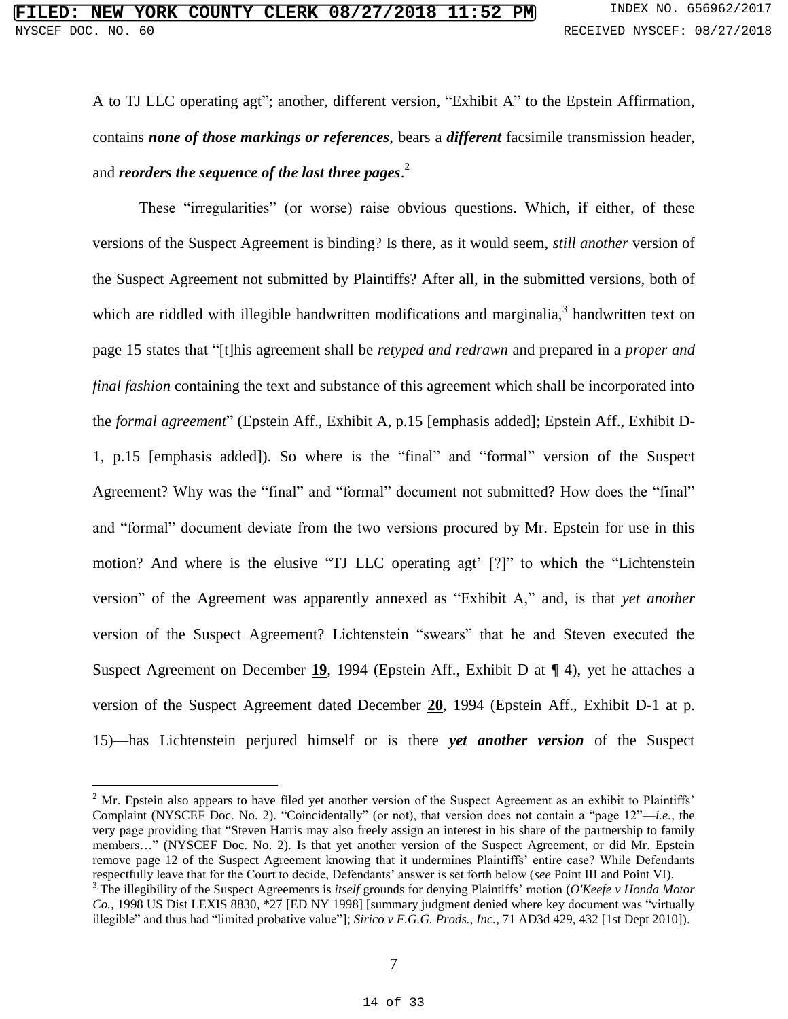A to TJ LLC operating agt"; another, different version, "Exhibit A" to the Epstein Affirmation, contains *none of those markings or references*, bears a *different* facsimile transmission header, and *reorders the sequence of the last three pages*. 2

These "irregularities" (or worse) raise obvious questions. Which, if either, of these versions of the Suspect Agreement is binding? Is there, as it would seem, *still another* version of the Suspect Agreement not submitted by Plaintiffs? After all, in the submitted versions, both of which are riddled with illegible handwritten modifications and marginalia,<sup>3</sup> handwritten text on page 15 states that "[t]his agreement shall be *retyped and redrawn* and prepared in a *proper and final fashion* containing the text and substance of this agreement which shall be incorporated into the *formal agreement*" (Epstein Aff., Exhibit A, p.15 [emphasis added]; Epstein Aff., Exhibit D-1, p.15 [emphasis added]). So where is the "final" and "formal" version of the Suspect Agreement? Why was the "final" and "formal" document not submitted? How does the "final" and "formal" document deviate from the two versions procured by Mr. Epstein for use in this motion? And where is the elusive "TJ LLC operating agt' [?]" to which the "Lichtenstein version" of the Agreement was apparently annexed as "Exhibit A," and, is that *yet another* version of the Suspect Agreement? Lichtenstein "swears" that he and Steven executed the Suspect Agreement on December **19**, 1994 (Epstein Aff., Exhibit D at ¶ 4), yet he attaches a version of the Suspect Agreement dated December **20**, 1994 (Epstein Aff., Exhibit D-1 at p. 15)—has Lichtenstein perjured himself or is there *yet another version* of the Suspect

 $2$  Mr. Epstein also appears to have filed yet another version of the Suspect Agreement as an exhibit to Plaintiffs' Complaint (NYSCEF Doc. No. 2). "Coincidentally" (or not), that version does not contain a "page 12"—*i.e.*, the very page providing that "Steven Harris may also freely assign an interest in his share of the partnership to family members…" (NYSCEF Doc. No. 2). Is that yet another version of the Suspect Agreement, or did Mr. Epstein remove page 12 of the Suspect Agreement knowing that it undermines Plaintiffs' entire case? While Defendants respectfully leave that for the Court to decide, Defendants' answer is set forth below (*see* Point III and Point VI).

<sup>3</sup> The illegibility of the Suspect Agreements is *itself* grounds for denying Plaintiffs' motion (*O'Keefe v Honda Motor Co.*, 1998 US Dist LEXIS 8830, \*27 [ED NY 1998] [summary judgment denied where key document was "virtually illegible" and thus had "limited probative value"]; *Sirico v F.G.G. Prods., Inc.*, 71 AD3d 429, 432 [1st Dept 2010]).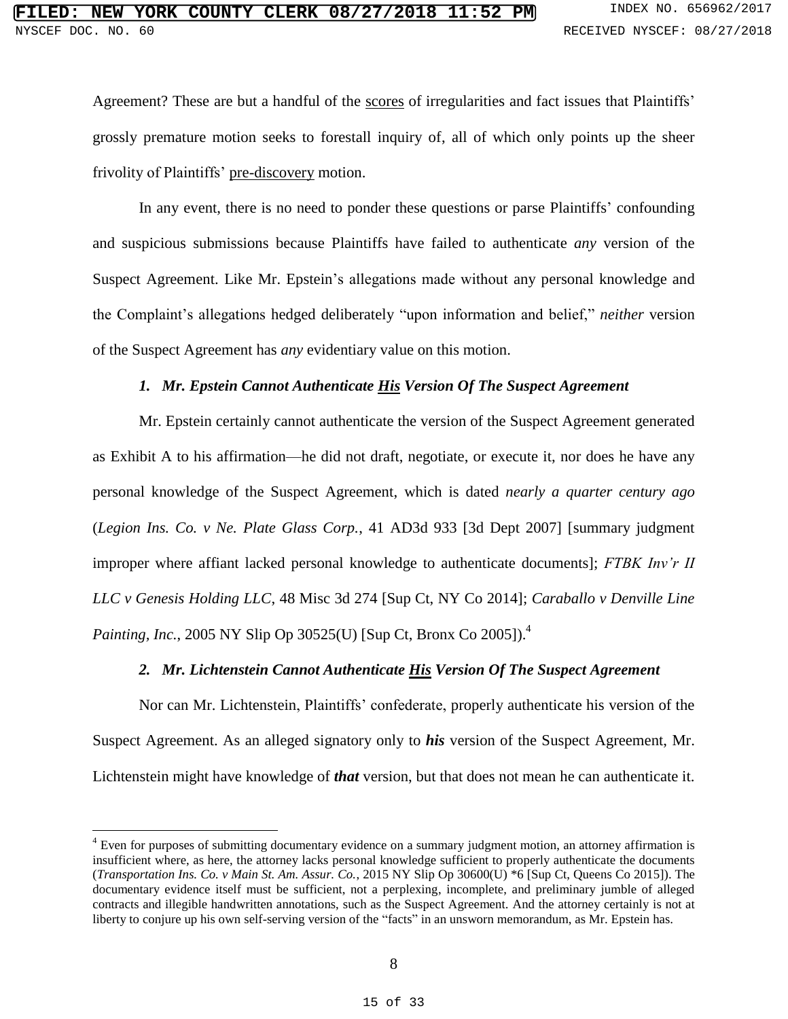Agreement? These are but a handful of the scores of irregularities and fact issues that Plaintiffs' grossly premature motion seeks to forestall inquiry of, all of which only points up the sheer frivolity of Plaintiffs' pre-discovery motion.

In any event, there is no need to ponder these questions or parse Plaintiffs' confounding and suspicious submissions because Plaintiffs have failed to authenticate *any* version of the Suspect Agreement. Like Mr. Epstein's allegations made without any personal knowledge and the Complaint's allegations hedged deliberately "upon information and belief," *neither* version of the Suspect Agreement has *any* evidentiary value on this motion.

#### *1. Mr. Epstein Cannot Authenticate His Version Of The Suspect Agreement*

Mr. Epstein certainly cannot authenticate the version of the Suspect Agreement generated as Exhibit A to his affirmation—he did not draft, negotiate, or execute it, nor does he have any personal knowledge of the Suspect Agreement, which is dated *nearly a quarter century ago* (*Legion Ins. Co. v Ne. Plate Glass Corp.*, 41 AD3d 933 [3d Dept 2007] [summary judgment improper where affiant lacked personal knowledge to authenticate documents]; *FTBK Inv'r II LLC v Genesis Holding LLC*, 48 Misc 3d 274 [Sup Ct, NY Co 2014]; *Caraballo v Denville Line Painting, Inc.*, 2005 NY Slip Op 30525(U) [Sup Ct, Bronx Co 2005]). 4

### *2. Mr. Lichtenstein Cannot Authenticate His Version Of The Suspect Agreement*

Nor can Mr. Lichtenstein, Plaintiffs' confederate, properly authenticate his version of the Suspect Agreement. As an alleged signatory only to *his* version of the Suspect Agreement, Mr. Lichtenstein might have knowledge of *that* version, but that does not mean he can authenticate it.

<sup>4</sup> Even for purposes of submitting documentary evidence on a summary judgment motion, an attorney affirmation is insufficient where, as here, the attorney lacks personal knowledge sufficient to properly authenticate the documents (*Transportation Ins. Co. v Main St. Am. Assur. Co.*, 2015 NY Slip Op 30600(U) \*6 [Sup Ct, Queens Co 2015]). The documentary evidence itself must be sufficient, not a perplexing, incomplete, and preliminary jumble of alleged contracts and illegible handwritten annotations, such as the Suspect Agreement. And the attorney certainly is not at liberty to conjure up his own self-serving version of the "facts" in an unsworn memorandum, as Mr. Epstein has.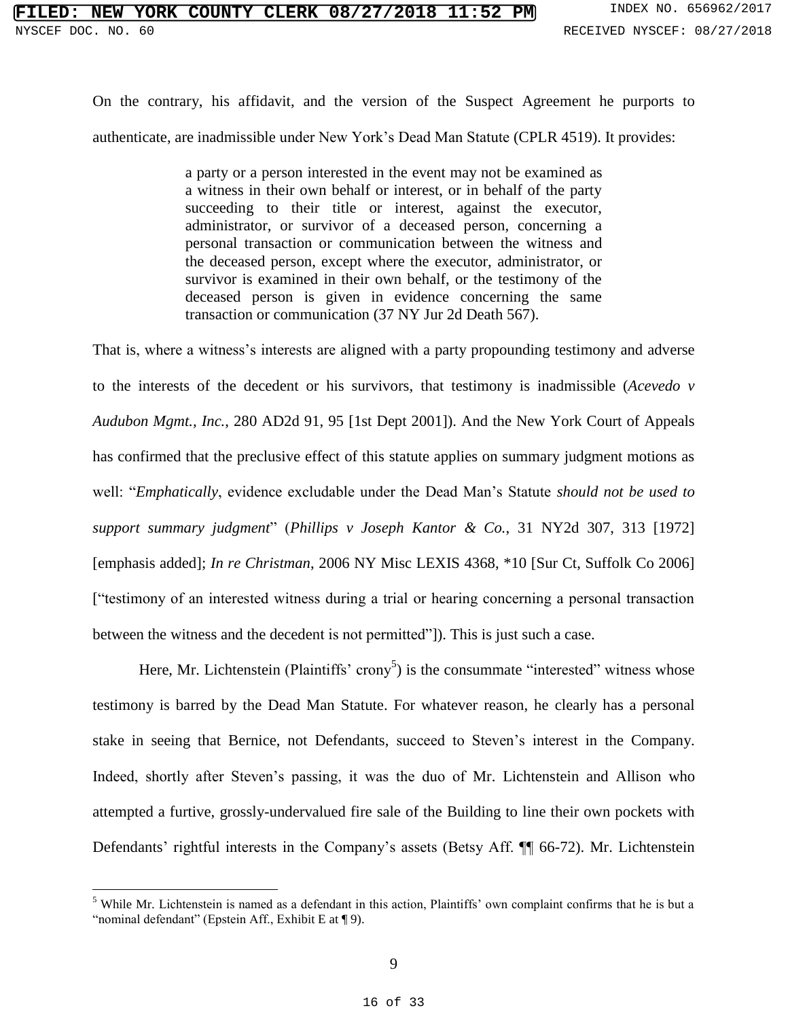On the contrary, his affidavit, and the version of the Suspect Agreement he purports to authenticate, are inadmissible under New York's Dead Man Statute (CPLR 4519). It provides:

> a party or a person interested in the event may not be examined as a witness in their own behalf or interest, or in behalf of the party succeeding to their title or interest, against the executor, administrator, or survivor of a deceased person, concerning a personal transaction or communication between the witness and the deceased person, except where the executor, administrator, or survivor is examined in their own behalf, or the testimony of the deceased person is given in evidence concerning the same transaction or communication (37 NY Jur 2d Death 567).

That is, where a witness's interests are aligned with a party propounding testimony and adverse to the interests of the decedent or his survivors, that testimony is inadmissible (*Acevedo v Audubon Mgmt., Inc.*, 280 AD2d 91, 95 [1st Dept 2001]). And the New York Court of Appeals has confirmed that the preclusive effect of this statute applies on summary judgment motions as well: "*Emphatically*, evidence excludable under the Dead Man's Statute *should not be used to support summary judgment*" (*Phillips v Joseph Kantor & Co.*, 31 NY2d 307, 313 [1972] [emphasis added]; *In re Christman*, 2006 NY Misc LEXIS 4368, \*10 [Sur Ct, Suffolk Co 2006] ["testimony of an interested witness during a trial or hearing concerning a personal transaction between the witness and the decedent is not permitted"]). This is just such a case.

Here, Mr. Lichtenstein (Plaintiffs' crony<sup>5</sup>) is the consummate "interested" witness whose testimony is barred by the Dead Man Statute. For whatever reason, he clearly has a personal stake in seeing that Bernice, not Defendants, succeed to Steven's interest in the Company. Indeed, shortly after Steven's passing, it was the duo of Mr. Lichtenstein and Allison who attempted a furtive, grossly-undervalued fire sale of the Building to line their own pockets with Defendants' rightful interests in the Company's assets (Betsy Aff. ¶¶ 66-72). Mr. Lichtenstein

<sup>5</sup> While Mr. Lichtenstein is named as a defendant in this action, Plaintiffs' own complaint confirms that he is but a "nominal defendant" (Epstein Aff., Exhibit E at ¶ 9).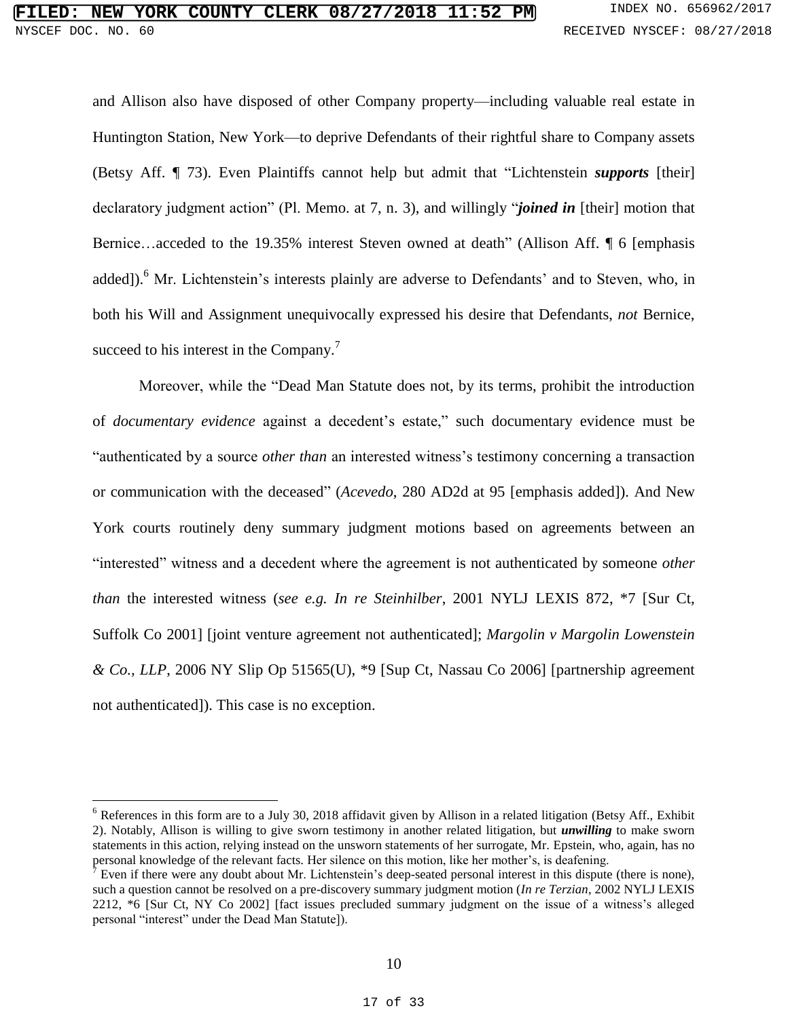and Allison also have disposed of other Company property—including valuable real estate in Huntington Station, New York—to deprive Defendants of their rightful share to Company assets (Betsy Aff. ¶ 73). Even Plaintiffs cannot help but admit that "Lichtenstein *supports* [their] declaratory judgment action" (Pl. Memo. at 7, n. 3), and willingly "*joined in* [their] motion that Bernice…acceded to the 19.35% interest Steven owned at death" (Allison Aff. ¶ 6 [emphasis added]).<sup>6</sup> Mr. Lichtenstein's interests plainly are adverse to Defendants' and to Steven, who, in both his Will and Assignment unequivocally expressed his desire that Defendants, *not* Bernice, succeed to his interest in the Company.<sup>7</sup>

Moreover, while the "Dead Man Statute does not, by its terms, prohibit the introduction of *documentary evidence* against a decedent's estate," such documentary evidence must be "authenticated by a source *other than* an interested witness's testimony concerning a transaction or communication with the deceased" (*Acevedo*, 280 AD2d at 95 [emphasis added]). And New York courts routinely deny summary judgment motions based on agreements between an "interested" witness and a decedent where the agreement is not authenticated by someone *other than* the interested witness (*see e.g. In re Steinhilber*, 2001 NYLJ LEXIS 872, \*7 [Sur Ct, Suffolk Co 2001] [joint venture agreement not authenticated]; *Margolin v Margolin Lowenstein & Co., LLP*, 2006 NY Slip Op 51565(U), \*9 [Sup Ct, Nassau Co 2006] [partnership agreement not authenticated]). This case is no exception.

 $6$  References in this form are to a July 30, 2018 affidavit given by Allison in a related litigation (Betsy Aff., Exhibit 2). Notably, Allison is willing to give sworn testimony in another related litigation, but *unwilling* to make sworn statements in this action, relying instead on the unsworn statements of her surrogate, Mr. Epstein, who, again, has no personal knowledge of the relevant facts. Her silence on this motion, like her mother's, is deafening.

<sup>&</sup>lt;sup>7</sup> Even if there were any doubt about Mr. Lichtenstein's deep-seated personal interest in this dispute (there is none), such a question cannot be resolved on a pre-discovery summary judgment motion (*In re Terzian*, 2002 NYLJ LEXIS 2212, \*6 [Sur Ct, NY Co 2002] [fact issues precluded summary judgment on the issue of a witness's alleged personal "interest" under the Dead Man Statute]).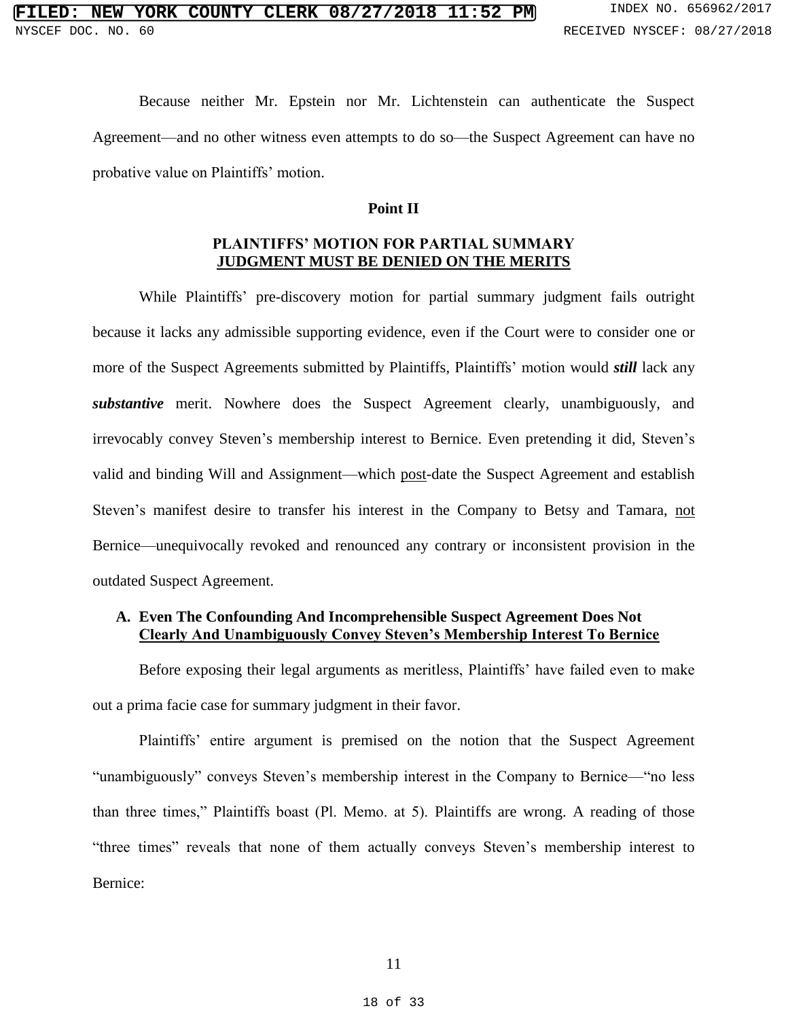Because neither Mr. Epstein nor Mr. Lichtenstein can authenticate the Suspect Agreement—and no other witness even attempts to do so—the Suspect Agreement can have no probative value on Plaintiffs' motion.

#### **Point II**

## **PLAINTIFFS' MOTION FOR PARTIAL SUMMARY JUDGMENT MUST BE DENIED ON THE MERITS**

While Plaintiffs' pre-discovery motion for partial summary judgment fails outright because it lacks any admissible supporting evidence, even if the Court were to consider one or more of the Suspect Agreements submitted by Plaintiffs, Plaintiffs' motion would *still* lack any *substantive* merit. Nowhere does the Suspect Agreement clearly, unambiguously, and irrevocably convey Steven's membership interest to Bernice. Even pretending it did, Steven's valid and binding Will and Assignment—which post-date the Suspect Agreement and establish Steven's manifest desire to transfer his interest in the Company to Betsy and Tamara, not Bernice—unequivocally revoked and renounced any contrary or inconsistent provision in the outdated Suspect Agreement.

## **A. Even The Confounding And Incomprehensible Suspect Agreement Does Not Clearly And Unambiguously Convey Steven's Membership Interest To Bernice**

Before exposing their legal arguments as meritless, Plaintiffs' have failed even to make out a prima facie case for summary judgment in their favor.

Plaintiffs' entire argument is premised on the notion that the Suspect Agreement "unambiguously" conveys Steven's membership interest in the Company to Bernice—"no less than three times," Plaintiffs boast (Pl. Memo. at 5). Plaintiffs are wrong. A reading of those "three times" reveals that none of them actually conveys Steven's membership interest to Bernice: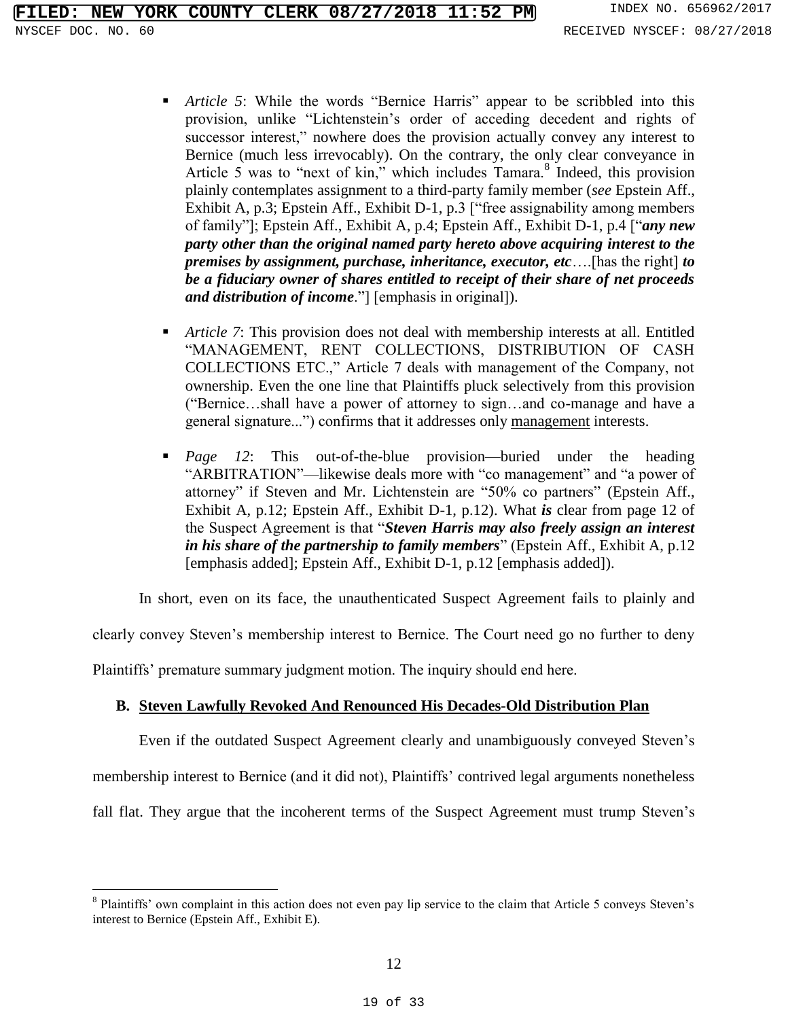- *Article 5*: While the words "Bernice Harris" appear to be scribbled into this provision, unlike "Lichtenstein's order of acceding decedent and rights of successor interest," nowhere does the provision actually convey any interest to Bernice (much less irrevocably). On the contrary, the only clear conveyance in Article 5 was to "next of kin," which includes  $Tamara$ .<sup>8</sup> Indeed, this provision plainly contemplates assignment to a third-party family member (*see* Epstein Aff., Exhibit A, p.3; Epstein Aff., Exhibit D-1, p.3 ["free assignability among members of family"]; Epstein Aff., Exhibit A, p.4; Epstein Aff., Exhibit D-1, p.4 ["*any new party other than the original named party hereto above acquiring interest to the premises by assignment, purchase, inheritance, executor, etc*….[has the right] *to be a fiduciary owner of shares entitled to receipt of their share of net proceeds and distribution of income*."] [emphasis in original]).
- *Article 7*: This provision does not deal with membership interests at all. Entitled "MANAGEMENT, RENT COLLECTIONS, DISTRIBUTION OF CASH COLLECTIONS ETC.," Article 7 deals with management of the Company, not ownership. Even the one line that Plaintiffs pluck selectively from this provision ("Bernice…shall have a power of attorney to sign…and co-manage and have a general signature...") confirms that it addresses only management interests.
- *Page 12*: This out-of-the-blue provision—buried under the heading "ARBITRATION"—likewise deals more with "co management" and "a power of attorney" if Steven and Mr. Lichtenstein are "50% co partners" (Epstein Aff., Exhibit A, p.12; Epstein Aff., Exhibit D-1, p.12). What *is* clear from page 12 of the Suspect Agreement is that "*Steven Harris may also freely assign an interest in his share of the partnership to family members*" (Epstein Aff., Exhibit A, p.12 [emphasis added]; Epstein Aff., Exhibit D-1, p.12 [emphasis added]).

In short, even on its face, the unauthenticated Suspect Agreement fails to plainly and

clearly convey Steven's membership interest to Bernice. The Court need go no further to deny

Plaintiffs' premature summary judgment motion. The inquiry should end here.

 $\overline{a}$ 

## **B. Steven Lawfully Revoked And Renounced His Decades-Old Distribution Plan**

Even if the outdated Suspect Agreement clearly and unambiguously conveyed Steven's membership interest to Bernice (and it did not), Plaintiffs' contrived legal arguments nonetheless fall flat. They argue that the incoherent terms of the Suspect Agreement must trump Steven's

<sup>&</sup>lt;sup>8</sup> Plaintiffs' own complaint in this action does not even pay lip service to the claim that Article 5 conveys Steven's interest to Bernice (Epstein Aff., Exhibit E).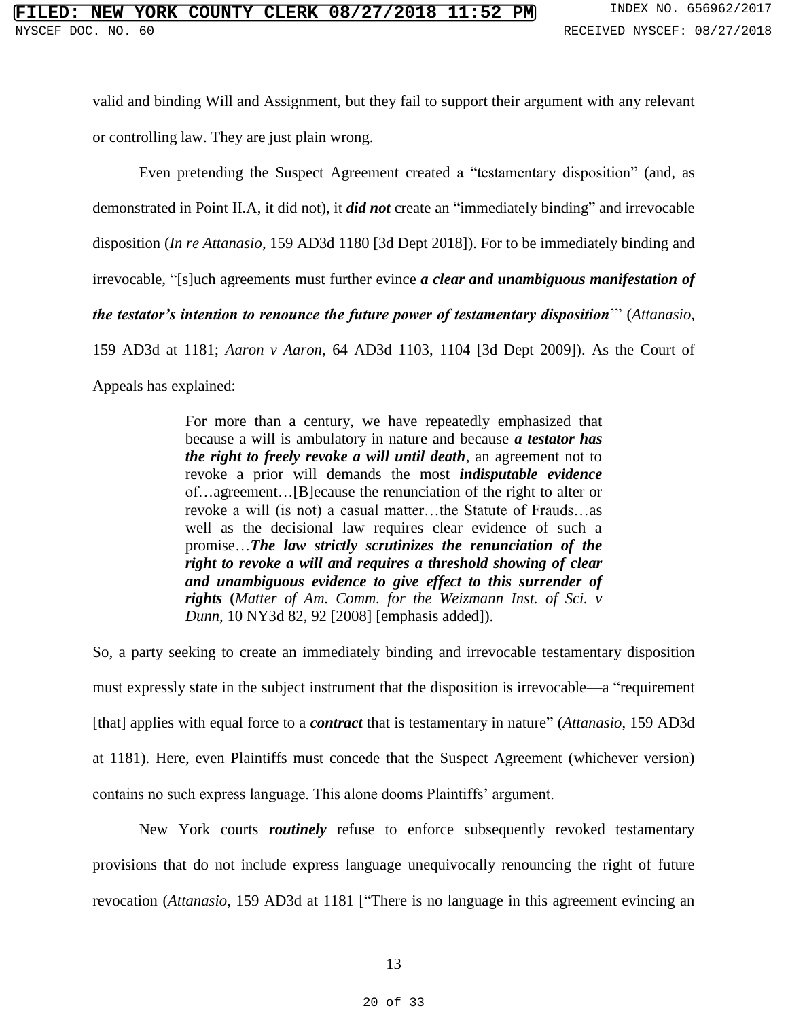valid and binding Will and Assignment, but they fail to support their argument with any relevant or controlling law. They are just plain wrong.

Even pretending the Suspect Agreement created a "testamentary disposition" (and, as

demonstrated in Point II.A, it did not), it *did not* create an "immediately binding" and irrevocable

disposition (*In re Attanasio*, 159 AD3d 1180 [3d Dept 2018]). For to be immediately binding and

irrevocable, "[s]uch agreements must further evince *a clear and unambiguous manifestation of* 

*the testator's intention to renounce the future power of testamentary disposition*'" (*Attanasio*,

159 AD3d at 1181; *Aaron v Aaron*, 64 AD3d 1103, 1104 [3d Dept 2009]). As the Court of

Appeals has explained:

For more than a century, we have repeatedly emphasized that because a will is ambulatory in nature and because *a testator has the right to freely revoke a will until death*, an agreement not to revoke a prior will demands the most *indisputable evidence* of…agreement…[B]ecause the renunciation of the right to alter or revoke a will (is not) a casual matter…the Statute of Frauds…as well as the decisional law requires clear evidence of such a promise…*The law strictly scrutinizes the renunciation of the right to revoke a will and requires a threshold showing of clear and unambiguous evidence to give effect to this surrender of rights* **(***Matter of Am. Comm. for the Weizmann Inst. of Sci. v Dunn*, 10 NY3d 82, 92 [2008] [emphasis added]).

So, a party seeking to create an immediately binding and irrevocable testamentary disposition must expressly state in the subject instrument that the disposition is irrevocable—a "requirement [that] applies with equal force to a *contract* that is testamentary in nature" (*Attanasio*, 159 AD3d at 1181). Here, even Plaintiffs must concede that the Suspect Agreement (whichever version) contains no such express language. This alone dooms Plaintiffs' argument.

New York courts *routinely* refuse to enforce subsequently revoked testamentary provisions that do not include express language unequivocally renouncing the right of future revocation (*Attanasio*, 159 AD3d at 1181 ["There is no language in this agreement evincing an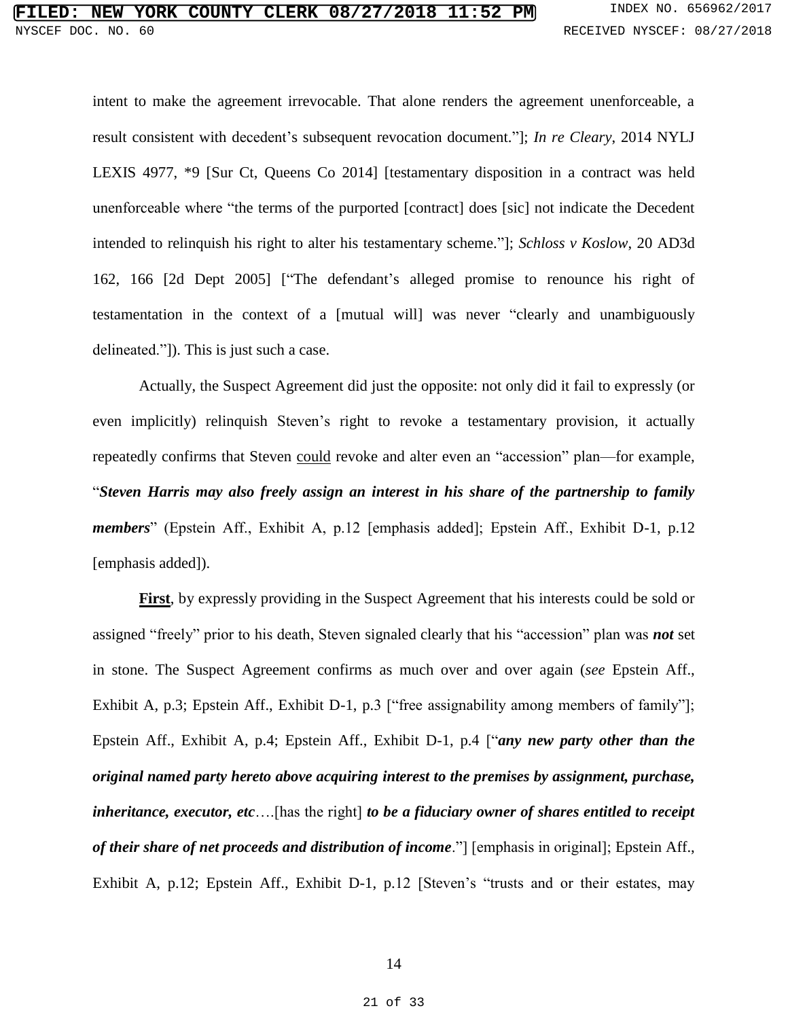intent to make the agreement irrevocable. That alone renders the agreement unenforceable, a result consistent with decedent's subsequent revocation document."]; *In re Cleary*, 2014 NYLJ LEXIS 4977, \*9 [Sur Ct, Queens Co 2014] [testamentary disposition in a contract was held unenforceable where "the terms of the purported [contract] does [sic] not indicate the Decedent intended to relinquish his right to alter his testamentary scheme."]; *Schloss v Koslow*, 20 AD3d 162, 166 [2d Dept 2005] ["The defendant's alleged promise to renounce his right of testamentation in the context of a [mutual will] was never "clearly and unambiguously delineated."]). This is just such a case.

Actually, the Suspect Agreement did just the opposite: not only did it fail to expressly (or even implicitly) relinquish Steven's right to revoke a testamentary provision, it actually repeatedly confirms that Steven could revoke and alter even an "accession" plan—for example, "*Steven Harris may also freely assign an interest in his share of the partnership to family members*" (Epstein Aff., Exhibit A, p.12 [emphasis added]; Epstein Aff., Exhibit D-1, p.12 [emphasis added]).

**First**, by expressly providing in the Suspect Agreement that his interests could be sold or assigned "freely" prior to his death, Steven signaled clearly that his "accession" plan was *not* set in stone. The Suspect Agreement confirms as much over and over again (*see* Epstein Aff., Exhibit A, p.3; Epstein Aff., Exhibit D-1, p.3 ["free assignability among members of family"]; Epstein Aff., Exhibit A, p.4; Epstein Aff., Exhibit D-1, p.4 ["*any new party other than the original named party hereto above acquiring interest to the premises by assignment, purchase, inheritance, executor, etc*….[has the right] *to be a fiduciary owner of shares entitled to receipt of their share of net proceeds and distribution of income*."] [emphasis in original]; Epstein Aff., Exhibit A, p.12; Epstein Aff., Exhibit D-1, p.12 [Steven's "trusts and or their estates, may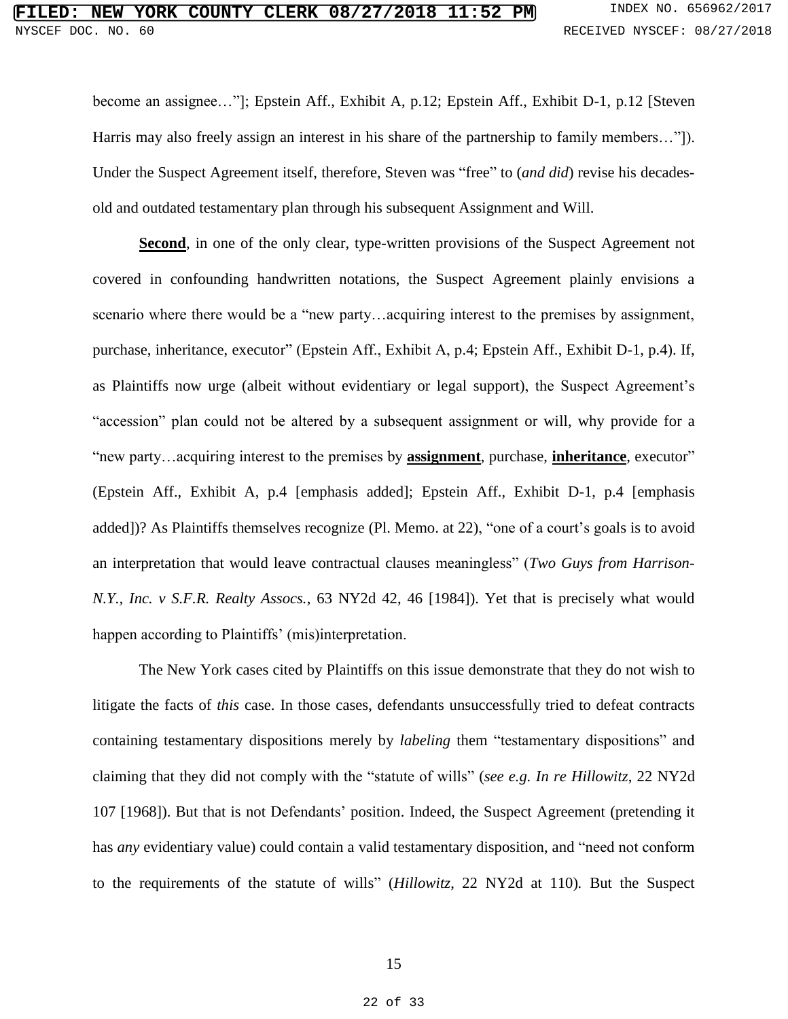become an assignee…"]; Epstein Aff., Exhibit A, p.12; Epstein Aff., Exhibit D-1, p.12 [Steven Harris may also freely assign an interest in his share of the partnership to family members..."]). Under the Suspect Agreement itself, therefore, Steven was "free" to (*and did*) revise his decadesold and outdated testamentary plan through his subsequent Assignment and Will.

Second, in one of the only clear, type-written provisions of the Suspect Agreement not covered in confounding handwritten notations, the Suspect Agreement plainly envisions a scenario where there would be a "new party…acquiring interest to the premises by assignment, purchase, inheritance, executor" (Epstein Aff., Exhibit A, p.4; Epstein Aff., Exhibit D-1, p.4). If, as Plaintiffs now urge (albeit without evidentiary or legal support), the Suspect Agreement's "accession" plan could not be altered by a subsequent assignment or will, why provide for a "new party…acquiring interest to the premises by **assignment**, purchase, **inheritance**, executor" (Epstein Aff., Exhibit A, p.4 [emphasis added]; Epstein Aff., Exhibit D-1, p.4 [emphasis added])? As Plaintiffs themselves recognize (Pl. Memo. at 22), "one of a court's goals is to avoid an interpretation that would leave contractual clauses meaningless" (*Two Guys from Harrison-N.Y., Inc. v S.F.R. Realty Assocs.*, 63 NY2d 42, 46 [1984]). Yet that is precisely what would happen according to Plaintiffs' (mis)interpretation.

The New York cases cited by Plaintiffs on this issue demonstrate that they do not wish to litigate the facts of *this* case. In those cases, defendants unsuccessfully tried to defeat contracts containing testamentary dispositions merely by *labeling* them "testamentary dispositions" and claiming that they did not comply with the "statute of wills" (*see e.g. In re Hillowitz*, 22 NY2d 107 [1968]). But that is not Defendants' position. Indeed, the Suspect Agreement (pretending it has *any* evidentiary value) could contain a valid testamentary disposition, and "need not conform to the requirements of the statute of wills" (*Hillowitz*, 22 NY2d at 110)*.* But the Suspect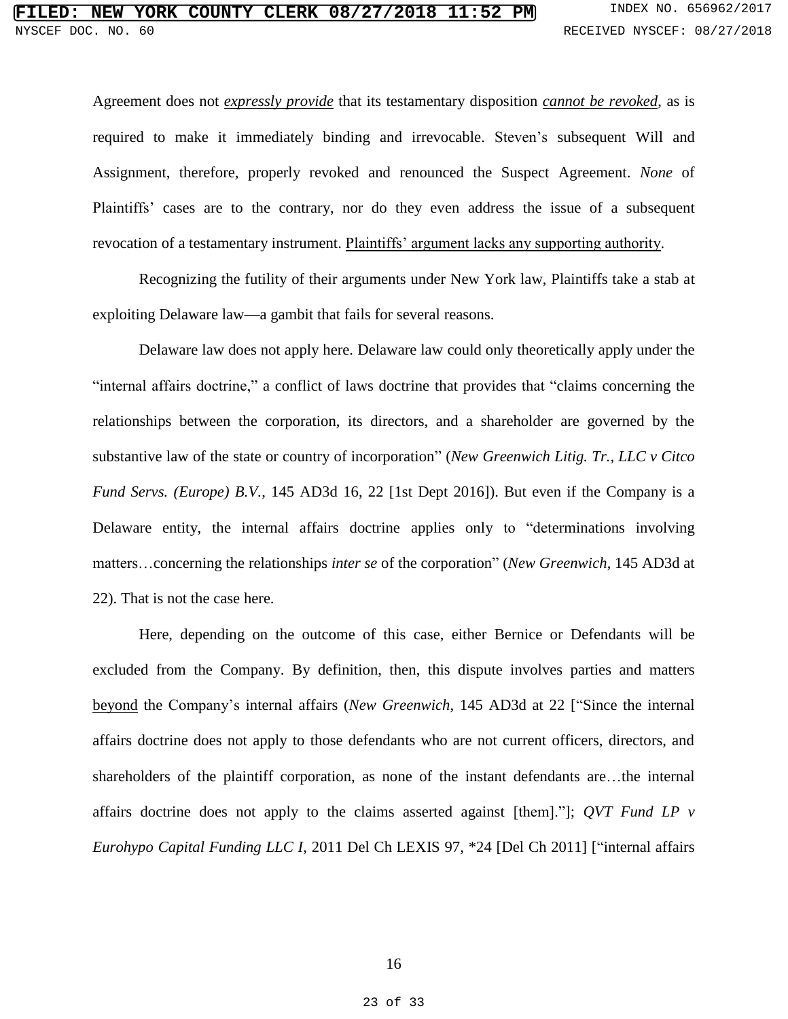Agreement does not *expressly provide* that its testamentary disposition *cannot be revoked*, as is required to make it immediately binding and irrevocable. Steven's subsequent Will and Assignment, therefore, properly revoked and renounced the Suspect Agreement. *None* of Plaintiffs' cases are to the contrary, nor do they even address the issue of a subsequent revocation of a testamentary instrument. Plaintiffs' argument lacks any supporting authority.

Recognizing the futility of their arguments under New York law, Plaintiffs take a stab at exploiting Delaware law—a gambit that fails for several reasons.

Delaware law does not apply here. Delaware law could only theoretically apply under the "internal affairs doctrine," a conflict of laws doctrine that provides that "claims concerning the relationships between the corporation, its directors, and a shareholder are governed by the substantive law of the state or country of incorporation" (*New Greenwich Litig. Tr., LLC v Citco Fund Servs. (Europe) B.V.*, 145 AD3d 16, 22 [1st Dept 2016]). But even if the Company is a Delaware entity, the internal affairs doctrine applies only to "determinations involving matters…concerning the relationships *inter se* of the corporation" (*New Greenwich*, 145 AD3d at 22). That is not the case here.

Here, depending on the outcome of this case, either Bernice or Defendants will be excluded from the Company. By definition, then, this dispute involves parties and matters beyond the Company's internal affairs (*New Greenwich*, 145 AD3d at 22 ["Since the internal affairs doctrine does not apply to those defendants who are not current officers, directors, and shareholders of the plaintiff corporation, as none of the instant defendants are…the internal affairs doctrine does not apply to the claims asserted against [them]."]; *QVT Fund LP v Eurohypo Capital Funding LLC I*, 2011 Del Ch LEXIS 97, \*24 [Del Ch 2011] ["internal affairs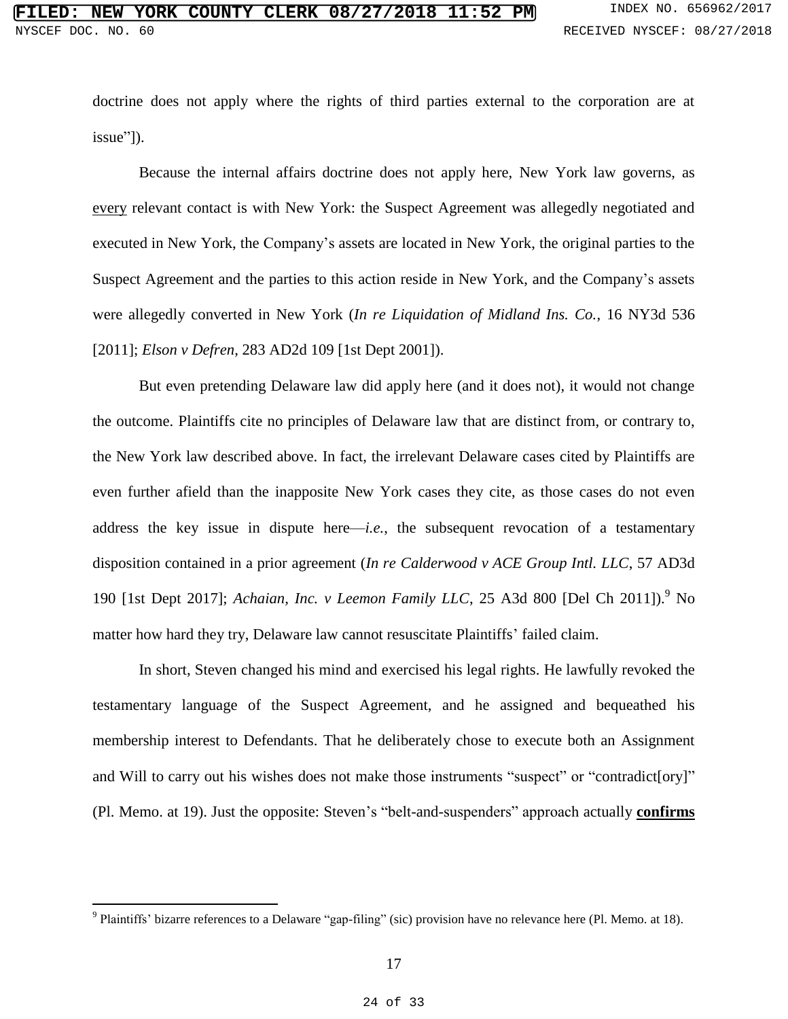doctrine does not apply where the rights of third parties external to the corporation are at issue"]).

Because the internal affairs doctrine does not apply here, New York law governs, as every relevant contact is with New York: the Suspect Agreement was allegedly negotiated and executed in New York, the Company's assets are located in New York, the original parties to the Suspect Agreement and the parties to this action reside in New York, and the Company's assets were allegedly converted in New York (*In re Liquidation of Midland Ins. Co.*, 16 NY3d 536 [2011]; *Elson v Defren*, 283 AD2d 109 [1st Dept 2001]).

But even pretending Delaware law did apply here (and it does not), it would not change the outcome. Plaintiffs cite no principles of Delaware law that are distinct from, or contrary to, the New York law described above. In fact, the irrelevant Delaware cases cited by Plaintiffs are even further afield than the inapposite New York cases they cite, as those cases do not even address the key issue in dispute here—*i.e.*, the subsequent revocation of a testamentary disposition contained in a prior agreement (*In re Calderwood v ACE Group Intl. LLC*, 57 AD3d 190 [1st Dept 2017]; *Achaian, Inc. v Leemon Family LLC*, 25 A3d 800 [Del Ch 2011]).<sup>9</sup> No matter how hard they try, Delaware law cannot resuscitate Plaintiffs' failed claim.

In short, Steven changed his mind and exercised his legal rights. He lawfully revoked the testamentary language of the Suspect Agreement, and he assigned and bequeathed his membership interest to Defendants. That he deliberately chose to execute both an Assignment and Will to carry out his wishes does not make those instruments "suspect" or "contradict[ory]" (Pl. Memo. at 19). Just the opposite: Steven's "belt-and-suspenders" approach actually **confirms**

<sup>&</sup>lt;sup>9</sup> Plaintiffs' bizarre references to a Delaware "gap-filing" (sic) provision have no relevance here (Pl. Memo. at 18).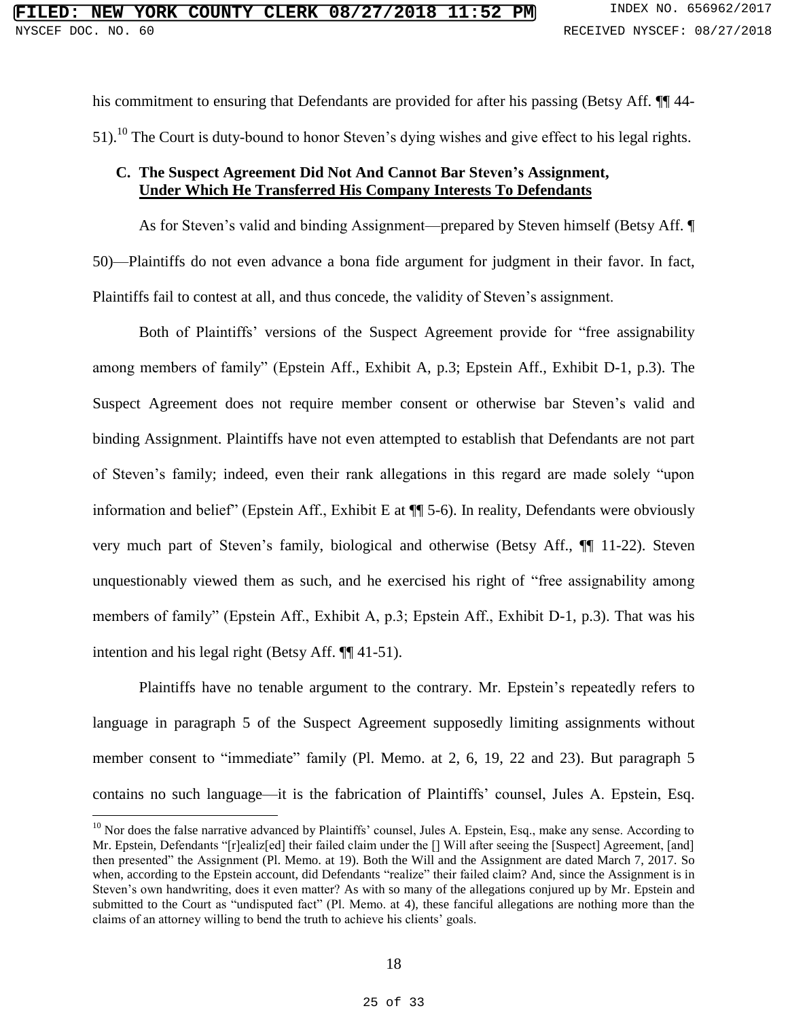his commitment to ensuring that Defendants are provided for after his passing (Betsy Aff.  $\P$  44-51).<sup>10</sup> The Court is duty-bound to honor Steven's dying wishes and give effect to his legal rights.

## **C. The Suspect Agreement Did Not And Cannot Bar Steven's Assignment, Under Which He Transferred His Company Interests To Defendants**

As for Steven's valid and binding Assignment—prepared by Steven himself (Betsy Aff. ¶ 50)—Plaintiffs do not even advance a bona fide argument for judgment in their favor. In fact, Plaintiffs fail to contest at all, and thus concede, the validity of Steven's assignment.

Both of Plaintiffs' versions of the Suspect Agreement provide for "free assignability among members of family" (Epstein Aff., Exhibit A, p.3; Epstein Aff., Exhibit D-1, p.3). The Suspect Agreement does not require member consent or otherwise bar Steven's valid and binding Assignment. Plaintiffs have not even attempted to establish that Defendants are not part of Steven's family; indeed, even their rank allegations in this regard are made solely "upon information and belief" (Epstein Aff., Exhibit E at ¶¶ 5-6). In reality, Defendants were obviously very much part of Steven's family, biological and otherwise (Betsy Aff., ¶¶ 11-22). Steven unquestionably viewed them as such, and he exercised his right of "free assignability among members of family" (Epstein Aff., Exhibit A, p.3; Epstein Aff., Exhibit D-1, p.3). That was his intention and his legal right (Betsy Aff. ¶¶ 41-51).

Plaintiffs have no tenable argument to the contrary. Mr. Epstein's repeatedly refers to language in paragraph 5 of the Suspect Agreement supposedly limiting assignments without member consent to "immediate" family (Pl. Memo. at 2, 6, 19, 22 and 23). But paragraph 5 contains no such language—it is the fabrication of Plaintiffs' counsel, Jules A. Epstein, Esq.

<sup>&</sup>lt;sup>10</sup> Nor does the false narrative advanced by Plaintiffs' counsel, Jules A. Epstein, Esq., make any sense. According to Mr. Epstein, Defendants "[r]ealiz[ed] their failed claim under the [] Will after seeing the [Suspect] Agreement, [and] then presented" the Assignment (Pl. Memo. at 19). Both the Will and the Assignment are dated March 7, 2017. So when, according to the Epstein account, did Defendants "realize" their failed claim? And, since the Assignment is in Steven's own handwriting, does it even matter? As with so many of the allegations conjured up by Mr. Epstein and submitted to the Court as "undisputed fact" (Pl. Memo. at 4), these fanciful allegations are nothing more than the claims of an attorney willing to bend the truth to achieve his clients' goals.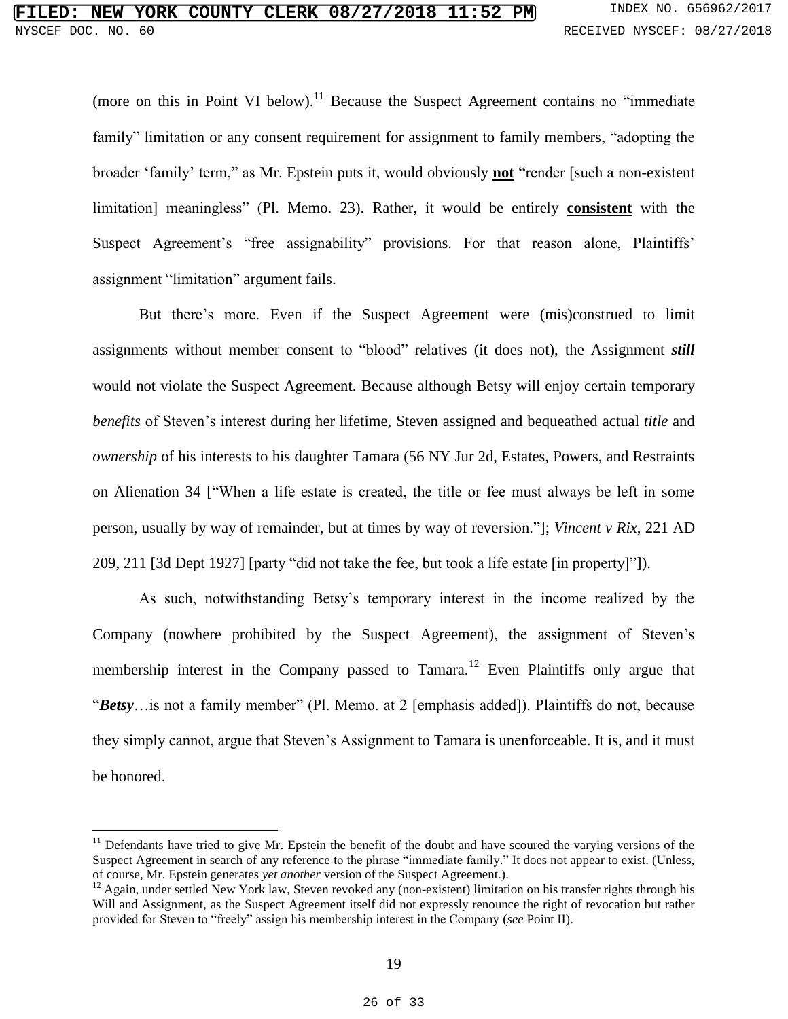(more on this in Point VI below).<sup>11</sup> Because the Suspect Agreement contains no "immediate family" limitation or any consent requirement for assignment to family members, "adopting the broader 'family' term," as Mr. Epstein puts it, would obviously **not** "render [such a non-existent limitation] meaningless" (Pl. Memo. 23). Rather, it would be entirely **consistent** with the Suspect Agreement's "free assignability" provisions. For that reason alone, Plaintiffs' assignment "limitation" argument fails.

But there's more. Even if the Suspect Agreement were (mis)construed to limit assignments without member consent to "blood" relatives (it does not), the Assignment *still* would not violate the Suspect Agreement. Because although Betsy will enjoy certain temporary *benefits* of Steven's interest during her lifetime, Steven assigned and bequeathed actual *title* and *ownership* of his interests to his daughter Tamara (56 NY Jur 2d, Estates, Powers, and Restraints on Alienation 34 ["When a life estate is created, the title or fee must always be left in some person, usually by way of remainder, but at times by way of reversion."]; *Vincent v Rix*, 221 AD 209, 211 [3d Dept 1927] [party "did not take the fee, but took a life estate [in property]"]).

As such, notwithstanding Betsy's temporary interest in the income realized by the Company (nowhere prohibited by the Suspect Agreement), the assignment of Steven's membership interest in the Company passed to Tamara.<sup>12</sup> Even Plaintiffs only argue that "*Betsy*…is not a family member" (Pl. Memo. at 2 [emphasis added]). Plaintiffs do not, because they simply cannot, argue that Steven's Assignment to Tamara is unenforceable. It is, and it must be honored.

 $11$  Defendants have tried to give Mr. Epstein the benefit of the doubt and have scoured the varying versions of the Suspect Agreement in search of any reference to the phrase "immediate family." It does not appear to exist. (Unless, of course, Mr. Epstein generates *yet another* version of the Suspect Agreement.).

 $12$  Again, under settled New York law, Steven revoked any (non-existent) limitation on his transfer rights through his Will and Assignment, as the Suspect Agreement itself did not expressly renounce the right of revocation but rather provided for Steven to "freely" assign his membership interest in the Company (*see* Point II).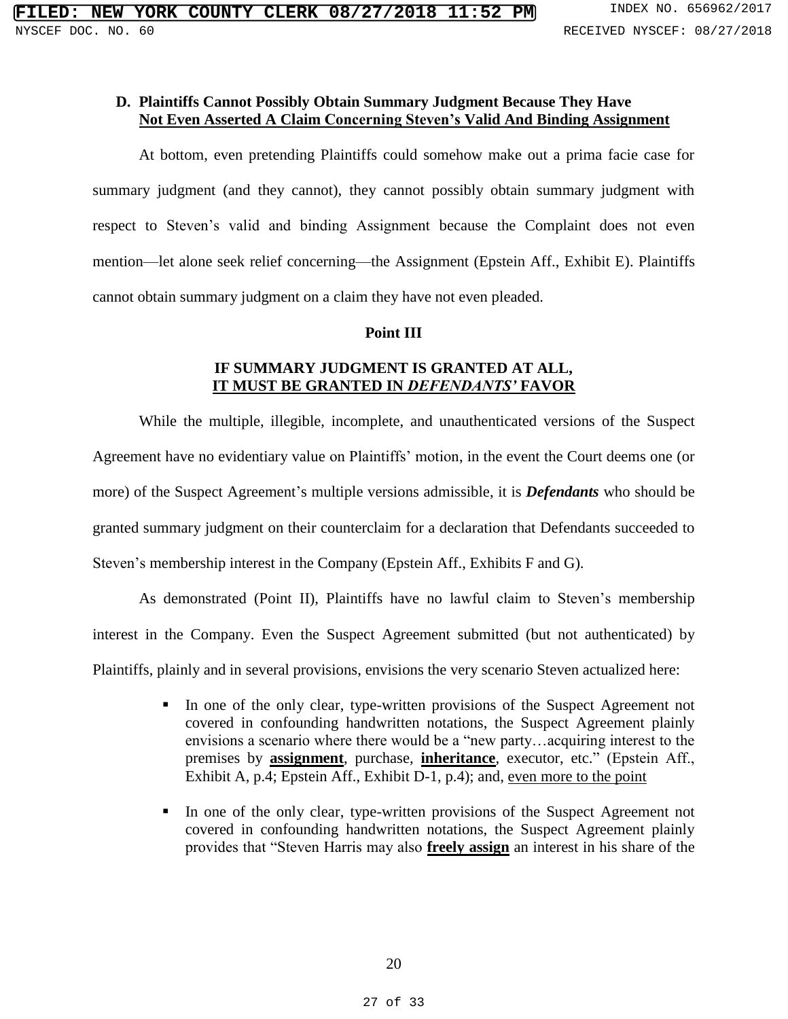#### **D. Plaintiffs Cannot Possibly Obtain Summary Judgment Because They Have Not Even Asserted A Claim Concerning Steven's Valid And Binding Assignment**

At bottom, even pretending Plaintiffs could somehow make out a prima facie case for summary judgment (and they cannot), they cannot possibly obtain summary judgment with respect to Steven's valid and binding Assignment because the Complaint does not even mention—let alone seek relief concerning—the Assignment (Epstein Aff., Exhibit E). Plaintiffs cannot obtain summary judgment on a claim they have not even pleaded.

### **Point III**

## **IF SUMMARY JUDGMENT IS GRANTED AT ALL, IT MUST BE GRANTED IN** *DEFENDANTS'* **FAVOR**

While the multiple, illegible, incomplete, and unauthenticated versions of the Suspect Agreement have no evidentiary value on Plaintiffs' motion, in the event the Court deems one (or more) of the Suspect Agreement's multiple versions admissible, it is *Defendants* who should be granted summary judgment on their counterclaim for a declaration that Defendants succeeded to Steven's membership interest in the Company (Epstein Aff., Exhibits F and G).

As demonstrated (Point II), Plaintiffs have no lawful claim to Steven's membership interest in the Company. Even the Suspect Agreement submitted (but not authenticated) by Plaintiffs, plainly and in several provisions, envisions the very scenario Steven actualized here:

- In one of the only clear, type-written provisions of the Suspect Agreement not covered in confounding handwritten notations, the Suspect Agreement plainly envisions a scenario where there would be a "new party…acquiring interest to the premises by **assignment**, purchase, **inheritance**, executor, etc." (Epstein Aff., Exhibit A, p.4; Epstein Aff., Exhibit D-1, p.4); and, even more to the point
- In one of the only clear, type-written provisions of the Suspect Agreement not covered in confounding handwritten notations, the Suspect Agreement plainly provides that "Steven Harris may also **freely assign** an interest in his share of the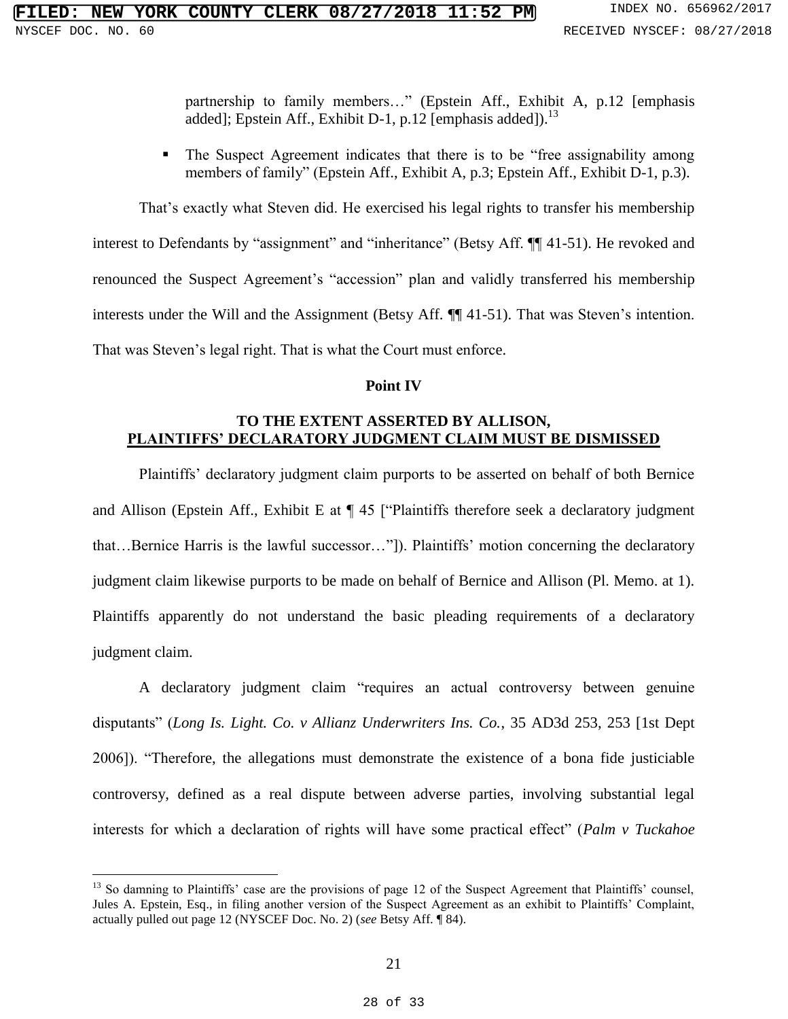partnership to family members…" (Epstein Aff., Exhibit A, p.12 [emphasis added]; Epstein Aff., Exhibit D-1, p.12 [emphasis added]).<sup>13</sup>

• The Suspect Agreement indicates that there is to be "free assignability among members of family" (Epstein Aff., Exhibit A, p.3; Epstein Aff., Exhibit D-1, p.3).

That's exactly what Steven did. He exercised his legal rights to transfer his membership interest to Defendants by "assignment" and "inheritance" (Betsy Aff. ¶[41-51). He revoked and renounced the Suspect Agreement's "accession" plan and validly transferred his membership interests under the Will and the Assignment (Betsy Aff. ¶¶ 41-51). That was Steven's intention. That was Steven's legal right. That is what the Court must enforce.

#### **Point IV**

## **TO THE EXTENT ASSERTED BY ALLISON, PLAINTIFFS' DECLARATORY JUDGMENT CLAIM MUST BE DISMISSED**

Plaintiffs' declaratory judgment claim purports to be asserted on behalf of both Bernice and Allison (Epstein Aff., Exhibit E at ¶ 45 ["Plaintiffs therefore seek a declaratory judgment that…Bernice Harris is the lawful successor…"]). Plaintiffs' motion concerning the declaratory judgment claim likewise purports to be made on behalf of Bernice and Allison (Pl. Memo. at 1). Plaintiffs apparently do not understand the basic pleading requirements of a declaratory judgment claim.

A declaratory judgment claim "requires an actual controversy between genuine disputants" (*Long Is. Light. Co. v Allianz Underwriters Ins. Co.*, 35 AD3d 253, 253 [1st Dept 2006]). "Therefore, the allegations must demonstrate the existence of a bona fide justiciable controversy, defined as a real dispute between adverse parties, involving substantial legal interests for which a declaration of rights will have some practical effect" (*Palm v Tuckahoe* 

 $<sup>13</sup>$  So damning to Plaintiffs' case are the provisions of page 12 of the Suspect Agreement that Plaintiffs' counsel,</sup> Jules A. Epstein, Esq., in filing another version of the Suspect Agreement as an exhibit to Plaintiffs' Complaint, actually pulled out page 12 (NYSCEF Doc. No. 2) (*see* Betsy Aff. ¶ 84).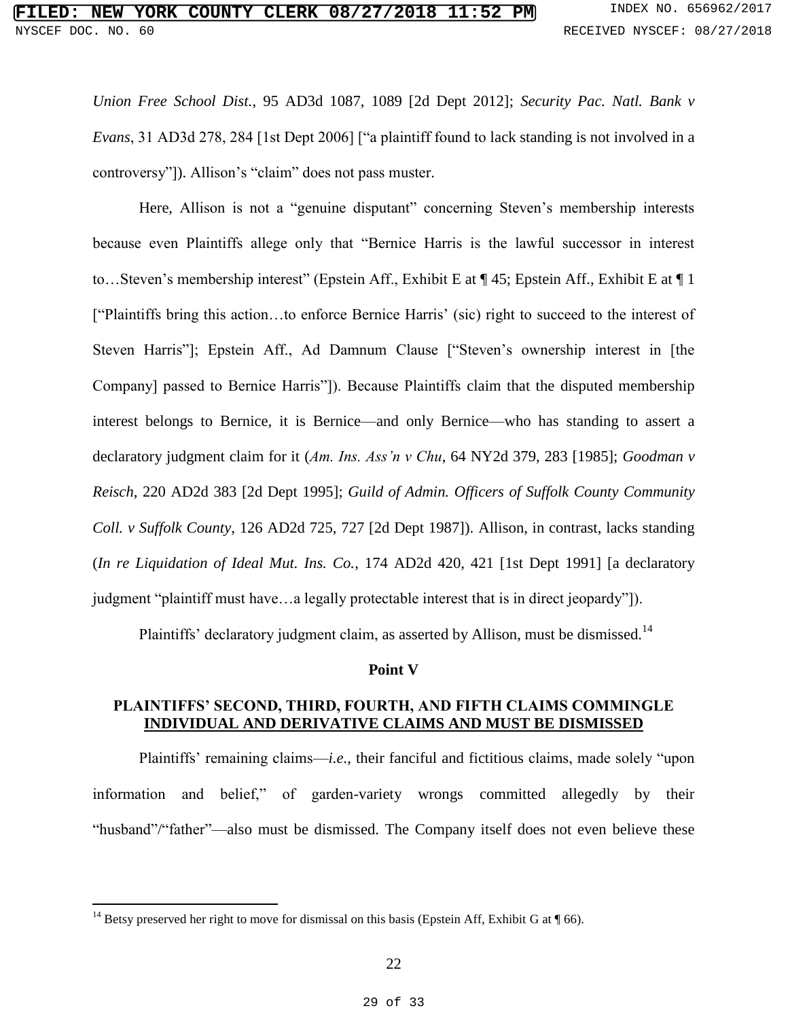## **FIRE COUNTY CLERK 08/27/2018 11:52 PM** INDEX NO. 656962/2017 NYSCEF DOC. NO. 60 **RECEIVED NYSCEF: 08/27/2018**

*Union Free School Dist.*, 95 AD3d 1087, 1089 [2d Dept 2012]; *Security Pac. Natl. Bank v Evans*, 31 AD3d 278, 284 [1st Dept 2006] ["a plaintiff found to lack standing is not involved in a controversy"]). Allison's "claim" does not pass muster.

Here, Allison is not a "genuine disputant" concerning Steven's membership interests because even Plaintiffs allege only that "Bernice Harris is the lawful successor in interest to…Steven's membership interest" (Epstein Aff., Exhibit E at ¶ 45; Epstein Aff., Exhibit E at ¶ 1 ["Plaintiffs bring this action…to enforce Bernice Harris' (sic) right to succeed to the interest of Steven Harris"]; Epstein Aff., Ad Damnum Clause ["Steven's ownership interest in [the Company] passed to Bernice Harris"]). Because Plaintiffs claim that the disputed membership interest belongs to Bernice, it is Bernice—and only Bernice—who has standing to assert a declaratory judgment claim for it (*Am. Ins. Ass'n v Chu*, 64 NY2d 379, 283 [1985]; *Goodman v Reisch*, 220 AD2d 383 [2d Dept 1995]; *Guild of Admin. Officers of Suffolk County Community Coll. v Suffolk County*, 126 AD2d 725, 727 [2d Dept 1987]). Allison, in contrast, lacks standing (*In re Liquidation of Ideal Mut. Ins. Co.*, 174 AD2d 420, 421 [1st Dept 1991] [a declaratory judgment "plaintiff must have…a legally protectable interest that is in direct jeopardy"]).

Plaintiffs' declaratory judgment claim, as asserted by Allison, must be dismissed.<sup>14</sup>

#### **Point V**

### **PLAINTIFFS' SECOND, THIRD, FOURTH, AND FIFTH CLAIMS COMMINGLE INDIVIDUAL AND DERIVATIVE CLAIMS AND MUST BE DISMISSED**

Plaintiffs' remaining claims—*i.e.*, their fanciful and fictitious claims, made solely "upon information and belief," of garden-variety wrongs committed allegedly by their "husband"/"father"—also must be dismissed. The Company itself does not even believe these

<sup>&</sup>lt;sup>14</sup> Betsy preserved her right to move for dismissal on this basis (Epstein Aff, Exhibit G at  $\P$  66).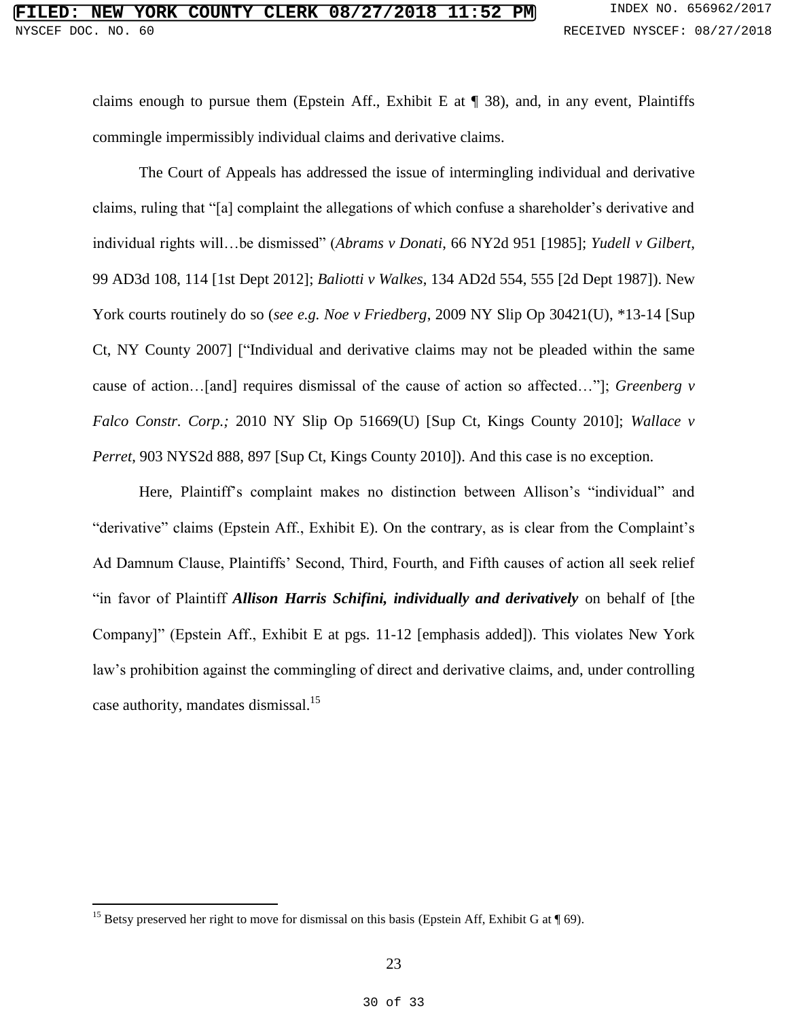claims enough to pursue them (Epstein Aff., Exhibit E at  $\P$  38), and, in any event, Plaintiffs commingle impermissibly individual claims and derivative claims.

The Court of Appeals has addressed the issue of intermingling individual and derivative claims, ruling that "[a] complaint the allegations of which confuse a shareholder's derivative and individual rights will…be dismissed" (*Abrams v Donati*, 66 NY2d 951 [1985]; *Yudell v Gilbert*, 99 AD3d 108, 114 [1st Dept 2012]; *Baliotti v Walkes*, 134 AD2d 554, 555 [2d Dept 1987]). New York courts routinely do so (*see e.g. Noe v Friedberg*, 2009 NY Slip Op 30421(U), \*13-14 [Sup Ct, NY County 2007] ["Individual and derivative claims may not be pleaded within the same cause of action…[and] requires dismissal of the cause of action so affected…"]; *Greenberg v Falco Constr. Corp.;* 2010 NY Slip Op 51669(U) [Sup Ct, Kings County 2010]; *Wallace v Perret*, 903 NYS2d 888, 897 [Sup Ct, Kings County 2010]). And this case is no exception.

Here, Plaintiff's complaint makes no distinction between Allison's "individual" and "derivative" claims (Epstein Aff., Exhibit E). On the contrary, as is clear from the Complaint's Ad Damnum Clause, Plaintiffs' Second, Third, Fourth, and Fifth causes of action all seek relief "in favor of Plaintiff *Allison Harris Schifini, individually and derivatively* on behalf of [the Company]" (Epstein Aff., Exhibit E at pgs. 11-12 [emphasis added]). This violates New York law's prohibition against the commingling of direct and derivative claims, and, under controlling case authority, mandates dismissal.<sup>15</sup>

<sup>&</sup>lt;sup>15</sup> Betsy preserved her right to move for dismissal on this basis (Epstein Aff, Exhibit G at  $\P$  69).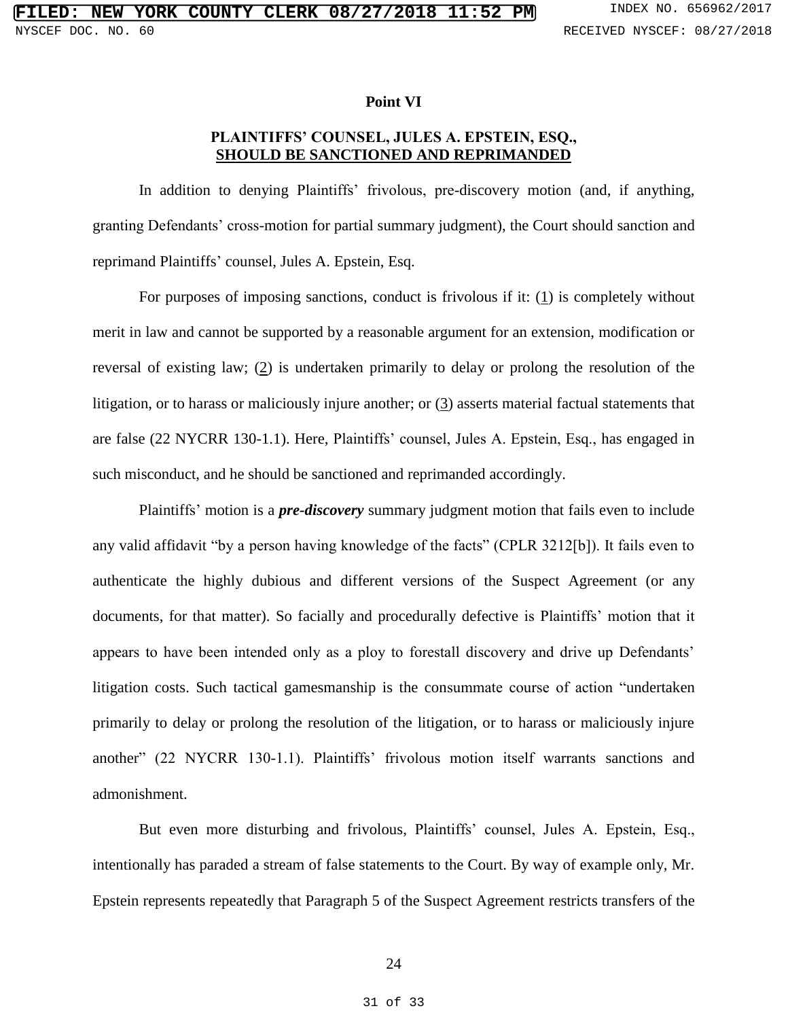#### **Point VI**

## **PLAINTIFFS' COUNSEL, JULES A. EPSTEIN, ESQ., SHOULD BE SANCTIONED AND REPRIMANDED**

In addition to denying Plaintiffs' frivolous, pre-discovery motion (and, if anything, granting Defendants' cross-motion for partial summary judgment), the Court should sanction and reprimand Plaintiffs' counsel, Jules A. Epstein, Esq.

For purposes of imposing sanctions, conduct is frivolous if it:  $(1)$  is completely without merit in law and cannot be supported by a reasonable argument for an extension, modification or reversal of existing law; (2) is undertaken primarily to delay or prolong the resolution of the litigation, or to harass or maliciously injure another; or (3) asserts material factual statements that are false (22 NYCRR 130-1.1). Here, Plaintiffs' counsel, Jules A. Epstein, Esq., has engaged in such misconduct, and he should be sanctioned and reprimanded accordingly.

Plaintiffs' motion is a *pre-discovery* summary judgment motion that fails even to include any valid affidavit "by a person having knowledge of the facts" (CPLR 3212[b]). It fails even to authenticate the highly dubious and different versions of the Suspect Agreement (or any documents, for that matter). So facially and procedurally defective is Plaintiffs' motion that it appears to have been intended only as a ploy to forestall discovery and drive up Defendants' litigation costs. Such tactical gamesmanship is the consummate course of action "undertaken primarily to delay or prolong the resolution of the litigation, or to harass or maliciously injure another" (22 NYCRR 130-1.1). Plaintiffs' frivolous motion itself warrants sanctions and admonishment.

But even more disturbing and frivolous, Plaintiffs' counsel, Jules A. Epstein, Esq., intentionally has paraded a stream of false statements to the Court. By way of example only, Mr. Epstein represents repeatedly that Paragraph 5 of the Suspect Agreement restricts transfers of the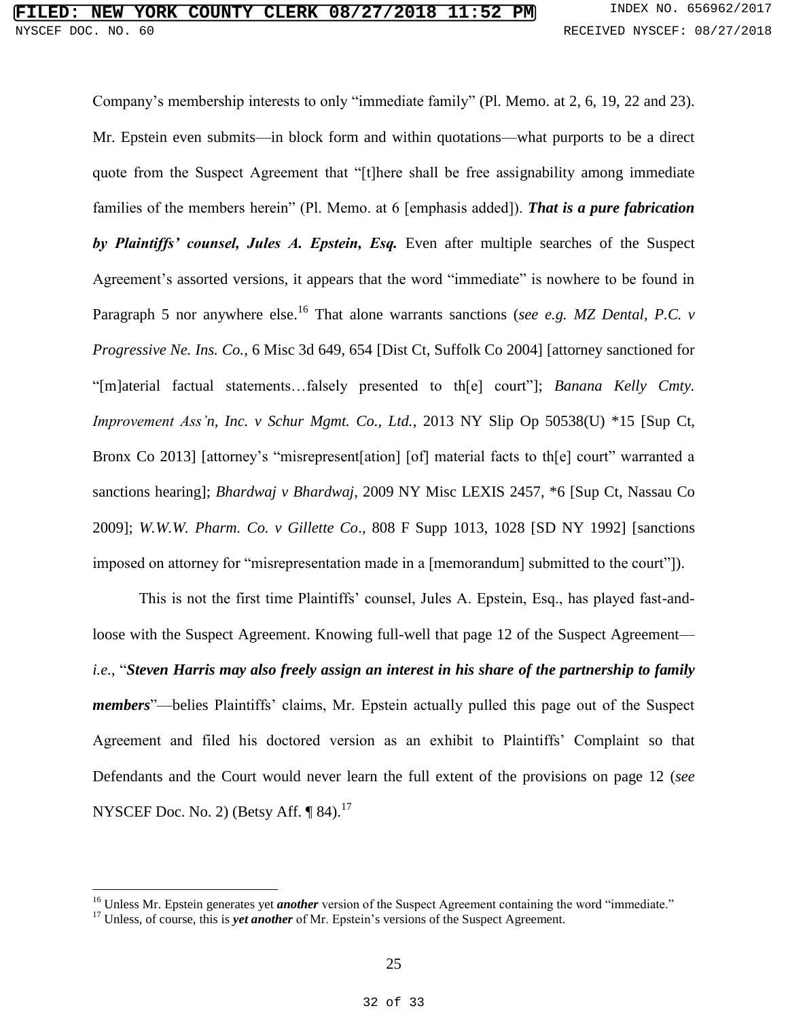Company's membership interests to only "immediate family" (Pl. Memo. at 2, 6, 19, 22 and 23). Mr. Epstein even submits—in block form and within quotations—what purports to be a direct quote from the Suspect Agreement that "[t]here shall be free assignability among immediate families of the members herein" (Pl. Memo. at 6 [emphasis added]). *That is a pure fabrication by Plaintiffs' counsel, Jules A. Epstein, Esq.* Even after multiple searches of the Suspect Agreement's assorted versions, it appears that the word "immediate" is nowhere to be found in Paragraph 5 nor anywhere else.<sup>16</sup> That alone warrants sanctions (*see e.g. MZ Dental, P.C. v Progressive Ne. Ins. Co.*, 6 Misc 3d 649, 654 [Dist Ct, Suffolk Co 2004] [attorney sanctioned for "[m]aterial factual statements…falsely presented to th[e] court"]; *Banana Kelly Cmty. Improvement Ass'n, Inc. v Schur Mgmt. Co., Ltd.*, 2013 NY Slip Op 50538(U) \*15 [Sup Ct, Bronx Co 2013] [attorney's "misrepresent[ation] [of] material facts to the court" warranted a sanctions hearing]; *Bhardwaj v Bhardwaj*, 2009 NY Misc LEXIS 2457, \*6 [Sup Ct, Nassau Co 2009]; *W.W.W. Pharm. Co. v Gillette Co*., 808 F Supp 1013, 1028 [SD NY 1992] [sanctions imposed on attorney for "misrepresentation made in a [memorandum] submitted to the court"]).

This is not the first time Plaintiffs' counsel, Jules A. Epstein, Esq., has played fast-andloose with the Suspect Agreement. Knowing full-well that page 12 of the Suspect Agreement *i.e.*, "*Steven Harris may also freely assign an interest in his share of the partnership to family members*"—belies Plaintiffs' claims, Mr. Epstein actually pulled this page out of the Suspect Agreement and filed his doctored version as an exhibit to Plaintiffs' Complaint so that Defendants and the Court would never learn the full extent of the provisions on page 12 (*see* NYSCEF Doc. No. 2) (Betsy Aff. ¶ 84).<sup>17</sup>

<sup>&</sup>lt;sup>16</sup> Unless Mr. Epstein generates yet *another* version of the Suspect Agreement containing the word "immediate."

<sup>&</sup>lt;sup>17</sup> Unless, of course, this is *yet another* of Mr. Epstein's versions of the Suspect Agreement.